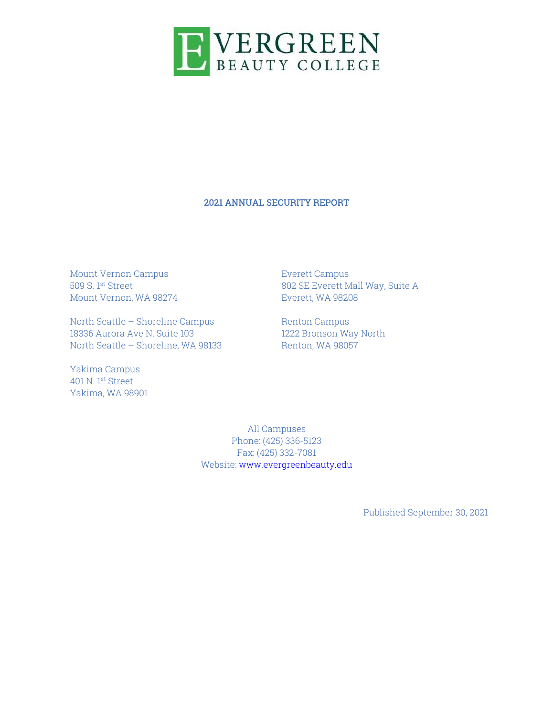

#### 2021 ANNUAL SECURITY REPORT

Mount Vernon Campus 509 S. 1st Street Mount Vernon, WA 98274

North Seattle – Shoreline Campus 18336 Aurora Ave N, Suite 103 North Seattle – Shoreline, WA 98133

Yakima Campus 401 N. 1st Street Yakima, WA 98901 Everett Campus 802 SE Everett Mall Way, Suite A Everett, WA 98208

Renton Campus 1222 Bronson Way North Renton, WA 98057

All Campuses Phone: (425) 336-5123 Fax: (425) 332-7081 Website: www.evergreenbeauty.edu

Published September 30, 2021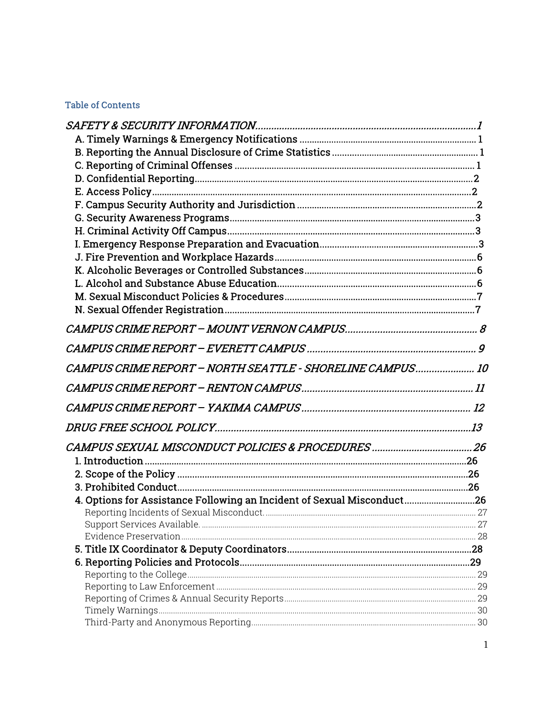# **Table of Contents**

| CAMPUS CRIME REPORT - NORTH SEATTLE - SHORELINE CAMPUS 10              |  |
|------------------------------------------------------------------------|--|
|                                                                        |  |
|                                                                        |  |
|                                                                        |  |
|                                                                        |  |
|                                                                        |  |
|                                                                        |  |
|                                                                        |  |
| 4. Options for Assistance Following an Incident of Sexual Misconduct26 |  |
|                                                                        |  |
|                                                                        |  |
|                                                                        |  |
|                                                                        |  |
|                                                                        |  |
|                                                                        |  |
|                                                                        |  |
|                                                                        |  |
|                                                                        |  |
|                                                                        |  |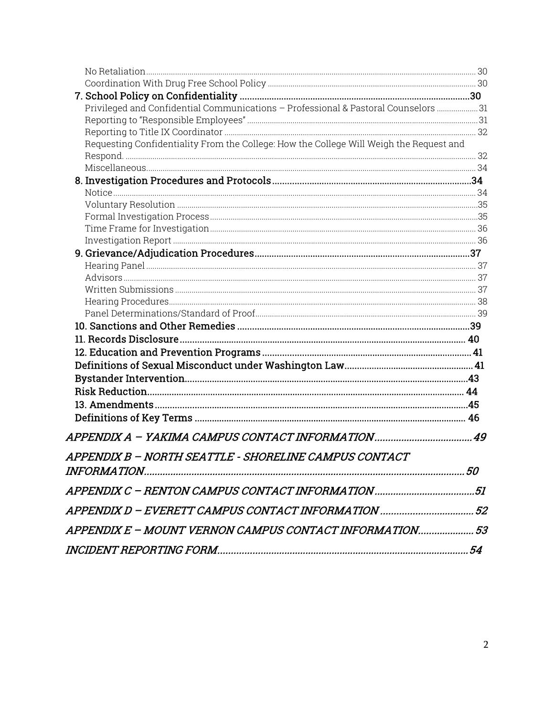| Privileged and Confidential Communications - Professional & Pastoral Counselors  31     |  |
|-----------------------------------------------------------------------------------------|--|
|                                                                                         |  |
|                                                                                         |  |
| Requesting Confidentiality From the College: How the College Will Weigh the Request and |  |
|                                                                                         |  |
|                                                                                         |  |
|                                                                                         |  |
|                                                                                         |  |
|                                                                                         |  |
|                                                                                         |  |
|                                                                                         |  |
|                                                                                         |  |
|                                                                                         |  |
|                                                                                         |  |
|                                                                                         |  |
|                                                                                         |  |
|                                                                                         |  |
|                                                                                         |  |
|                                                                                         |  |
|                                                                                         |  |
|                                                                                         |  |
|                                                                                         |  |
|                                                                                         |  |
|                                                                                         |  |
|                                                                                         |  |
|                                                                                         |  |
|                                                                                         |  |
| APPENDIX B - NORTH SEATTLE - SHORELINE CAMPUS CONTACT                                   |  |
|                                                                                         |  |
|                                                                                         |  |
|                                                                                         |  |
| APPENDIX E - MOUNT VERNON CAMPUS CONTACT INFORMATION 53                                 |  |
|                                                                                         |  |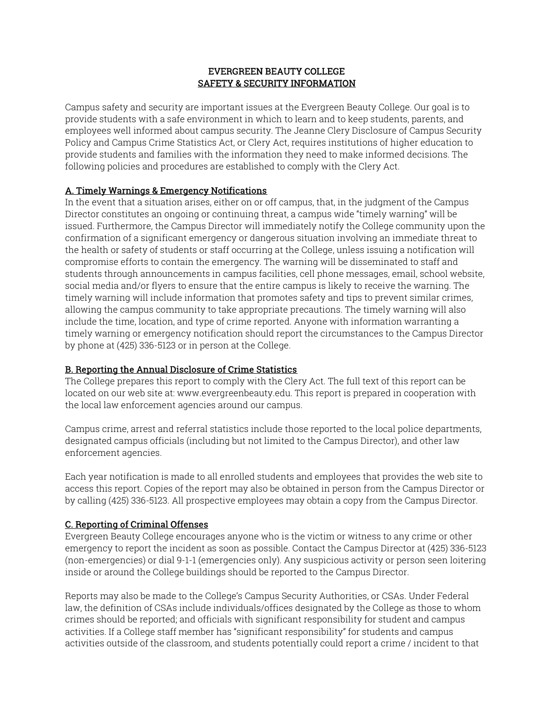#### EVERGREEN BEAUTY COLLEGE SAFETY & SECURITY INFORMATION

Campus safety and security are important issues at the Evergreen Beauty College. Our goal is to provide students with a safe environment in which to learn and to keep students, parents, and employees well informed about campus security. The Jeanne Clery Disclosure of Campus Security Policy and Campus Crime Statistics Act, or Clery Act, requires institutions of higher education to provide students and families with the information they need to make informed decisions. The following policies and procedures are established to comply with the Clery Act.

# A. Timely Warnings & Emergency Notifications

In the event that a situation arises, either on or off campus, that, in the judgment of the Campus Director constitutes an ongoing or continuing threat, a campus wide "timely warning" will be issued. Furthermore, the Campus Director will immediately notify the College community upon the confirmation of a significant emergency or dangerous situation involving an immediate threat to the health or safety of students or staff occurring at the College, unless issuing a notification will compromise efforts to contain the emergency. The warning will be disseminated to staff and students through announcements in campus facilities, cell phone messages, email, school website, social media and/or flyers to ensure that the entire campus is likely to receive the warning. The timely warning will include information that promotes safety and tips to prevent similar crimes, allowing the campus community to take appropriate precautions. The timely warning will also include the time, location, and type of crime reported. Anyone with information warranting a timely warning or emergency notification should report the circumstances to the Campus Director by phone at (425) 336-5123 or in person at the College.

# B. Reporting the Annual Disclosure of Crime Statistics

The College prepares this report to comply with the Clery Act. The full text of this report can be located on our web site at: www.evergreenbeauty.edu. This report is prepared in cooperation with the local law enforcement agencies around our campus.

Campus crime, arrest and referral statistics include those reported to the local police departments, designated campus officials (including but not limited to the Campus Director), and other law enforcement agencies.

Each year notification is made to all enrolled students and employees that provides the web site to access this report. Copies of the report may also be obtained in person from the Campus Director or by calling (425) 336-5123. All prospective employees may obtain a copy from the Campus Director.

# C. Reporting of Criminal Offenses

Evergreen Beauty College encourages anyone who is the victim or witness to any crime or other emergency to report the incident as soon as possible. Contact the Campus Director at (425) 336-5123 (non-emergencies) or dial 9-1-1 (emergencies only). Any suspicious activity or person seen loitering inside or around the College buildings should be reported to the Campus Director.

Reports may also be made to the College's Campus Security Authorities, or CSAs. Under Federal law, the definition of CSAs include individuals/offices designated by the College as those to whom crimes should be reported; and officials with significant responsibility for student and campus activities. If a College staff member has "significant responsibility" for students and campus activities outside of the classroom, and students potentially could report a crime / incident to that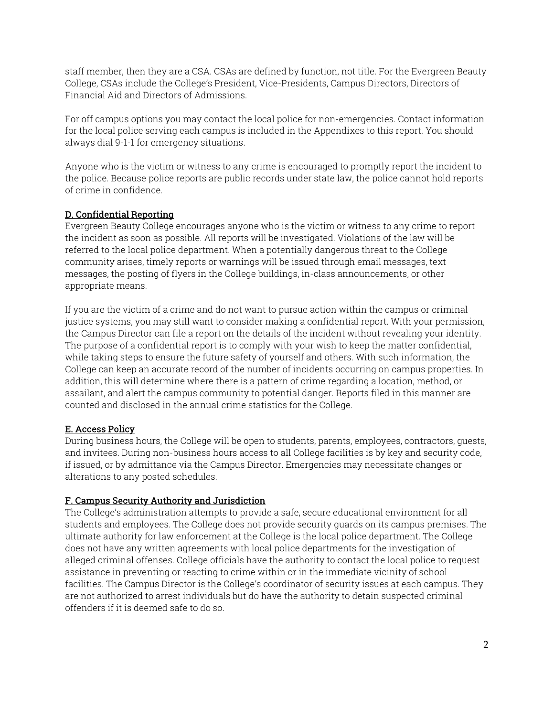staff member, then they are a CSA. CSAs are defined by function, not title. For the Evergreen Beauty College, CSAs include the College's President, Vice-Presidents, Campus Directors, Directors of Financial Aid and Directors of Admissions.

For off campus options you may contact the local police for non-emergencies. Contact information for the local police serving each campus is included in the Appendixes to this report. You should always dial 9-1-1 for emergency situations.

Anyone who is the victim or witness to any crime is encouraged to promptly report the incident to the police. Because police reports are public records under state law, the police cannot hold reports of crime in confidence.

# D. Confidential Reporting

Evergreen Beauty College encourages anyone who is the victim or witness to any crime to report the incident as soon as possible. All reports will be investigated. Violations of the law will be referred to the local police department. When a potentially dangerous threat to the College community arises, timely reports or warnings will be issued through email messages, text messages, the posting of flyers in the College buildings, in-class announcements, or other appropriate means.

If you are the victim of a crime and do not want to pursue action within the campus or criminal justice systems, you may still want to consider making a confidential report. With your permission, the Campus Director can file a report on the details of the incident without revealing your identity. The purpose of a confidential report is to comply with your wish to keep the matter confidential, while taking steps to ensure the future safety of yourself and others. With such information, the College can keep an accurate record of the number of incidents occurring on campus properties. In addition, this will determine where there is a pattern of crime regarding a location, method, or assailant, and alert the campus community to potential danger. Reports filed in this manner are counted and disclosed in the annual crime statistics for the College.

# E. Access Policy

During business hours, the College will be open to students, parents, employees, contractors, guests, and invitees. During non-business hours access to all College facilities is by key and security code, if issued, or by admittance via the Campus Director. Emergencies may necessitate changes or alterations to any posted schedules.

# F. Campus Security Authority and Jurisdiction

The College's administration attempts to provide a safe, secure educational environment for all students and employees. The College does not provide security guards on its campus premises. The ultimate authority for law enforcement at the College is the local police department. The College does not have any written agreements with local police departments for the investigation of alleged criminal offenses. College officials have the authority to contact the local police to request assistance in preventing or reacting to crime within or in the immediate vicinity of school facilities. The Campus Director is the College's coordinator of security issues at each campus. They are not authorized to arrest individuals but do have the authority to detain suspected criminal offenders if it is deemed safe to do so.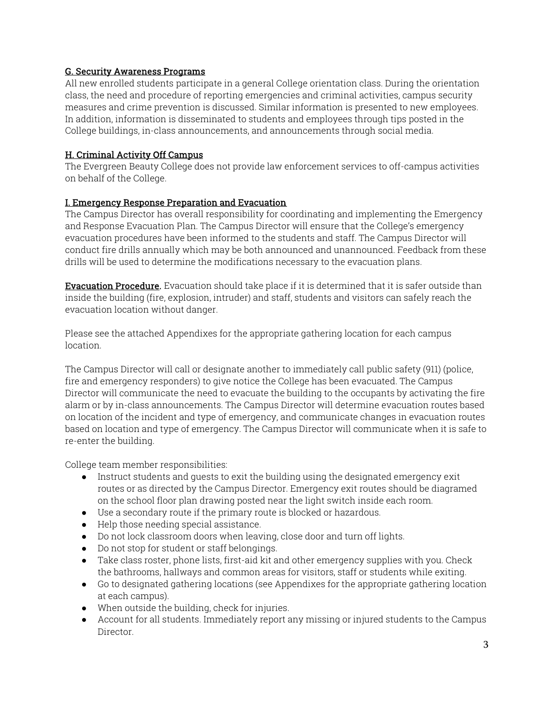# G. Security Awareness Programs

All new enrolled students participate in a general College orientation class. During the orientation class, the need and procedure of reporting emergencies and criminal activities, campus security measures and crime prevention is discussed. Similar information is presented to new employees. In addition, information is disseminated to students and employees through tips posted in the College buildings, in-class announcements, and announcements through social media.

# H. Criminal Activity Off Campus

The Evergreen Beauty College does not provide law enforcement services to off-campus activities on behalf of the College.

# I. Emergency Response Preparation and Evacuation

The Campus Director has overall responsibility for coordinating and implementing the Emergency and Response Evacuation Plan. The Campus Director will ensure that the College's emergency evacuation procedures have been informed to the students and staff. The Campus Director will conduct fire drills annually which may be both announced and unannounced. Feedback from these drills will be used to determine the modifications necessary to the evacuation plans.

**Evacuation Procedure.** Evacuation should take place if it is determined that it is safer outside than inside the building (fire, explosion, intruder) and staff, students and visitors can safely reach the evacuation location without danger.

Please see the attached Appendixes for the appropriate gathering location for each campus location.

The Campus Director will call or designate another to immediately call public safety (911) (police, fire and emergency responders) to give notice the College has been evacuated. The Campus Director will communicate the need to evacuate the building to the occupants by activating the fire alarm or by in-class announcements. The Campus Director will determine evacuation routes based on location of the incident and type of emergency, and communicate changes in evacuation routes based on location and type of emergency. The Campus Director will communicate when it is safe to re-enter the building.

College team member responsibilities:

- Instruct students and guests to exit the building using the designated emergency exit routes or as directed by the Campus Director. Emergency exit routes should be diagramed on the school floor plan drawing posted near the light switch inside each room.
- Use a secondary route if the primary route is blocked or hazardous.
- Help those needing special assistance.
- Do not lock classroom doors when leaving, close door and turn off lights.
- Do not stop for student or staff belongings.
- Take class roster, phone lists, first-aid kit and other emergency supplies with you. Check the bathrooms, hallways and common areas for visitors, staff or students while exiting.
- Go to designated gathering locations (see Appendixes for the appropriate gathering location at each campus).
- When outside the building, check for injuries.
- Account for all students. Immediately report any missing or injured students to the Campus Director.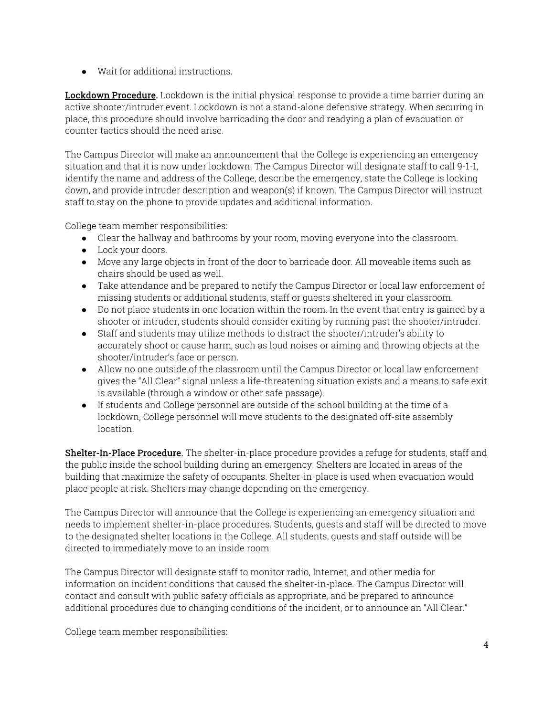● Wait for additional instructions.

Lockdown Procedure. Lockdown is the initial physical response to provide a time barrier during an active shooter/intruder event. Lockdown is not a stand-alone defensive strategy. When securing in place, this procedure should involve barricading the door and readying a plan of evacuation or counter tactics should the need arise.

The Campus Director will make an announcement that the College is experiencing an emergency situation and that it is now under lockdown. The Campus Director will designate staff to call 9-1-1, identify the name and address of the College, describe the emergency, state the College is locking down, and provide intruder description and weapon(s) if known. The Campus Director will instruct staff to stay on the phone to provide updates and additional information.

College team member responsibilities:

- Clear the hallway and bathrooms by your room, moving everyone into the classroom.
- Lock your doors.
- Move any large objects in front of the door to barricade door. All moveable items such as chairs should be used as well.
- Take attendance and be prepared to notify the Campus Director or local law enforcement of missing students or additional students, staff or guests sheltered in your classroom.
- Do not place students in one location within the room. In the event that entry is gained by a shooter or intruder, students should consider exiting by running past the shooter/intruder.
- Staff and students may utilize methods to distract the shooter/intruder's ability to accurately shoot or cause harm, such as loud noises or aiming and throwing objects at the shooter/intruder's face or person.
- Allow no one outside of the classroom until the Campus Director or local law enforcement gives the "All Clear" signal unless a life-threatening situation exists and a means to safe exit is available (through a window or other safe passage).
- If students and College personnel are outside of the school building at the time of a lockdown, College personnel will move students to the designated off-site assembly location.

Shelter-In-Place Procedure. The shelter-in-place procedure provides a refuge for students, staff and the public inside the school building during an emergency. Shelters are located in areas of the building that maximize the safety of occupants. Shelter-in-place is used when evacuation would place people at risk. Shelters may change depending on the emergency.

The Campus Director will announce that the College is experiencing an emergency situation and needs to implement shelter-in-place procedures. Students, guests and staff will be directed to move to the designated shelter locations in the College. All students, guests and staff outside will be directed to immediately move to an inside room.

The Campus Director will designate staff to monitor radio, Internet, and other media for information on incident conditions that caused the shelter-in-place. The Campus Director will contact and consult with public safety officials as appropriate, and be prepared to announce additional procedures due to changing conditions of the incident, or to announce an "All Clear."

College team member responsibilities: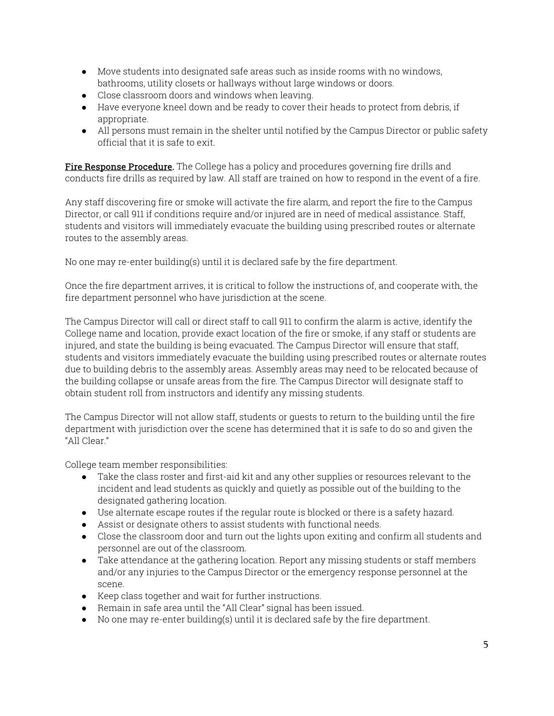- Move students into designated safe areas such as inside rooms with no windows, bathrooms, utility closets or hallways without large windows or doors.
- Close classroom doors and windows when leaving.
- Have everyone kneel down and be ready to cover their heads to protect from debris, if appropriate.
- All persons must remain in the shelter until notified by the Campus Director or public safety official that it is safe to exit.

Fire Response Procedure. The College has a policy and procedures governing fire drills and conducts fire drills as required by law. All staff are trained on how to respond in the event of a fire.

Any staff discovering fire or smoke will activate the fire alarm, and report the fire to the Campus Director, or call 911 if conditions require and/or injured are in need of medical assistance. Staff, students and visitors will immediately evacuate the building using prescribed routes or alternate routes to the assembly areas.

No one may re-enter building(s) until it is declared safe by the fire department.

Once the fire department arrives, it is critical to follow the instructions of, and cooperate with, the fire department personnel who have jurisdiction at the scene.

The Campus Director will call or direct staff to call 911 to confirm the alarm is active, identify the College name and location, provide exact location of the fire or smoke, if any staff or students are injured, and state the building is being evacuated. The Campus Director will ensure that staff, students and visitors immediately evacuate the building using prescribed routes or alternate routes due to building debris to the assembly areas. Assembly areas may need to be relocated because of the building collapse or unsafe areas from the fire. The Campus Director will designate staff to obtain student roll from instructors and identify any missing students.

The Campus Director will not allow staff, students or guests to return to the building until the fire department with jurisdiction over the scene has determined that it is safe to do so and given the "All Clear."

College team member responsibilities:

- Take the class roster and first-aid kit and any other supplies or resources relevant to the incident and lead students as quickly and quietly as possible out of the building to the designated gathering location.
- Use alternate escape routes if the regular route is blocked or there is a safety hazard.
- Assist or designate others to assist students with functional needs.
- Close the classroom door and turn out the lights upon exiting and confirm all students and personnel are out of the classroom.
- Take attendance at the gathering location. Report any missing students or staff members and/or any injuries to the Campus Director or the emergency response personnel at the scene.
- Keep class together and wait for further instructions.
- Remain in safe area until the "All Clear" signal has been issued.
- No one may re-enter building(s) until it is declared safe by the fire department.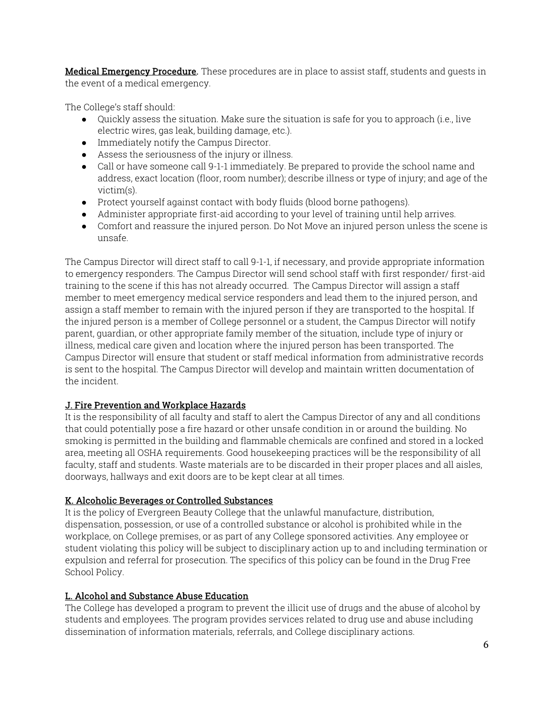Medical Emergency Procedure. These procedures are in place to assist staff, students and quests in the event of a medical emergency.

The College's staff should:

- $\bullet$  Quickly assess the situation. Make sure the situation is safe for you to approach (i.e., live electric wires, gas leak, building damage, etc.).
- Immediately notify the Campus Director.
- Assess the seriousness of the injury or illness.
- Call or have someone call 9-1-1 immediately. Be prepared to provide the school name and address, exact location (floor, room number); describe illness or type of injury; and age of the victim(s).
- Protect yourself against contact with body fluids (blood borne pathogens).
- Administer appropriate first-aid according to your level of training until help arrives.
- Comfort and reassure the injured person. Do Not Move an injured person unless the scene is unsafe.

The Campus Director will direct staff to call 9-1-1, if necessary, and provide appropriate information to emergency responders. The Campus Director will send school staff with first responder/ first-aid training to the scene if this has not already occurred. The Campus Director will assign a staff member to meet emergency medical service responders and lead them to the injured person, and assign a staff member to remain with the injured person if they are transported to the hospital. If the injured person is a member of College personnel or a student, the Campus Director will notify parent, guardian, or other appropriate family member of the situation, include type of injury or illness, medical care given and location where the injured person has been transported. The Campus Director will ensure that student or staff medical information from administrative records is sent to the hospital. The Campus Director will develop and maintain written documentation of the incident.

# J. Fire Prevention and Workplace Hazards

It is the responsibility of all faculty and staff to alert the Campus Director of any and all conditions that could potentially pose a fire hazard or other unsafe condition in or around the building. No smoking is permitted in the building and flammable chemicals are confined and stored in a locked area, meeting all OSHA requirements. Good housekeeping practices will be the responsibility of all faculty, staff and students. Waste materials are to be discarded in their proper places and all aisles, doorways, hallways and exit doors are to be kept clear at all times.

# K. Alcoholic Beverages or Controlled Substances

It is the policy of Evergreen Beauty College that the unlawful manufacture, distribution, dispensation, possession, or use of a controlled substance or alcohol is prohibited while in the workplace, on College premises, or as part of any College sponsored activities. Any employee or student violating this policy will be subject to disciplinary action up to and including termination or expulsion and referral for prosecution. The specifics of this policy can be found in the Drug Free School Policy.

# L. Alcohol and Substance Abuse Education

The College has developed a program to prevent the illicit use of drugs and the abuse of alcohol by students and employees. The program provides services related to drug use and abuse including dissemination of information materials, referrals, and College disciplinary actions.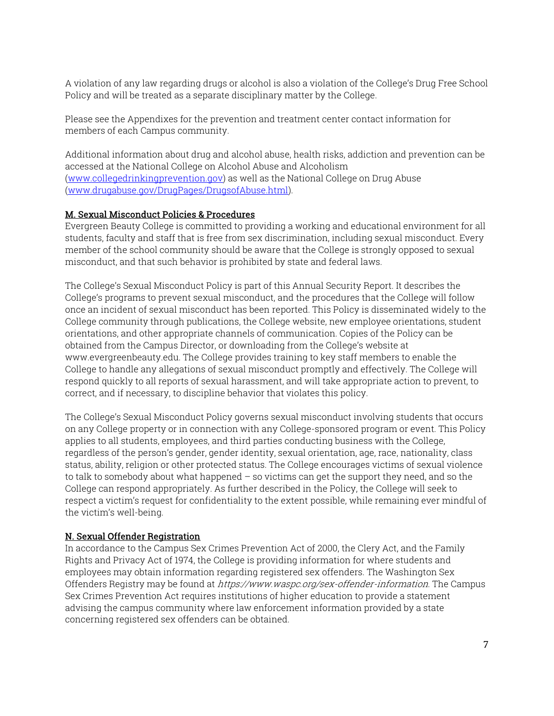A violation of any law regarding drugs or alcohol is also a violation of the College's Drug Free School Policy and will be treated as a separate disciplinary matter by the College.

Please see the Appendixes for the prevention and treatment center contact information for members of each Campus community.

Additional information about drug and alcohol abuse, health risks, addiction and prevention can be accessed at the National College on Alcohol Abuse and Alcoholism (www.collegedrinkingprevention.gov) as well as the National College on Drug Abuse (www.drugabuse.gov/DrugPages/DrugsofAbuse.html).

# M. Sexual Misconduct Policies & Procedures

Evergreen Beauty College is committed to providing a working and educational environment for all students, faculty and staff that is free from sex discrimination, including sexual misconduct. Every member of the school community should be aware that the College is strongly opposed to sexual misconduct, and that such behavior is prohibited by state and federal laws.

The College's Sexual Misconduct Policy is part of this Annual Security Report. It describes the College's programs to prevent sexual misconduct, and the procedures that the College will follow once an incident of sexual misconduct has been reported. This Policy is disseminated widely to the College community through publications, the College website, new employee orientations, student orientations, and other appropriate channels of communication. Copies of the Policy can be obtained from the Campus Director, or downloading from the College's website at www.evergreenbeauty.edu. The College provides training to key staff members to enable the College to handle any allegations of sexual misconduct promptly and effectively. The College will respond quickly to all reports of sexual harassment, and will take appropriate action to prevent, to correct, and if necessary, to discipline behavior that violates this policy.

The College's Sexual Misconduct Policy governs sexual misconduct involving students that occurs on any College property or in connection with any College-sponsored program or event. This Policy applies to all students, employees, and third parties conducting business with the College, regardless of the person's gender, gender identity, sexual orientation, age, race, nationality, class status, ability, religion or other protected status. The College encourages victims of sexual violence to talk to somebody about what happened – so victims can get the support they need, and so the College can respond appropriately. As further described in the Policy, the College will seek to respect a victim's request for confidentiality to the extent possible, while remaining ever mindful of the victim's well-being.

#### N. Sexual Offender Registration

In accordance to the Campus Sex Crimes Prevention Act of 2000, the Clery Act, and the Family Rights and Privacy Act of 1974, the College is providing information for where students and employees may obtain information regarding registered sex offenders. The Washington Sex Offenders Registry may be found at https://www.waspc.org/sex-offender-information. The Campus Sex Crimes Prevention Act requires institutions of higher education to provide a statement advising the campus community where law enforcement information provided by a state concerning registered sex offenders can be obtained.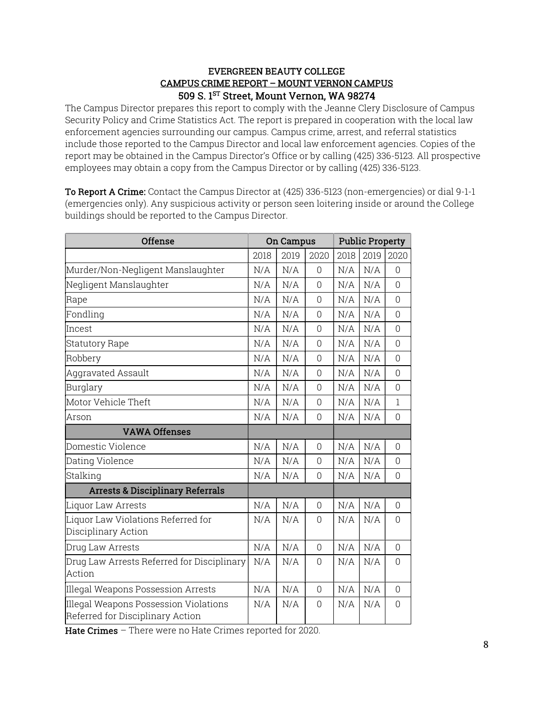#### EVERGREEN BEAUTY COLLEGE CAMPUS CRIME REPORT – MOUNT VERNON CAMPUS 509 S. 1<sup>ST</sup> Street, Mount Vernon, WA 98274

The Campus Director prepares this report to comply with the Jeanne Clery Disclosure of Campus Security Policy and Crime Statistics Act. The report is prepared in cooperation with the local law enforcement agencies surrounding our campus. Campus crime, arrest, and referral statistics include those reported to the Campus Director and local law enforcement agencies. Copies of the report may be obtained in the Campus Director's Office or by calling (425) 336-5123. All prospective employees may obtain a copy from the Campus Director or by calling (425) 336-5123.

To Report A Crime: Contact the Campus Director at (425) 336-5123 (non-emergencies) or dial 9-1-1 (emergencies only). Any suspicious activity or person seen loitering inside or around the College buildings should be reported to the Campus Director.

| <b>Offense</b>                                                            | <b>On Campus</b> |      | <b>Public Property</b> |      |      |                |
|---------------------------------------------------------------------------|------------------|------|------------------------|------|------|----------------|
|                                                                           | 2018             | 2019 | 2020                   | 2018 | 2019 | 2020           |
| Murder/Non-Negligent Manslaughter                                         | N/A              | N/A  | $\Omega$               | N/A  | N/A  | $\Omega$       |
| Negligent Manslaughter                                                    | N/A              | N/A  | $\overline{0}$         | N/A  | N/A  | $\overline{0}$ |
| Rape                                                                      | N/A              | N/A  | $\overline{0}$         | N/A  | N/A  | 0              |
| Fondling                                                                  | N/A              | N/A  | $\overline{0}$         | N/A  | N/A  | 0              |
| Incest                                                                    | N/A              | N/A  | $\Omega$               | N/A  | N/A  | 0              |
| Statutory Rape                                                            | N/A              | N/A  | $\overline{0}$         | N/A  | N/A  | 0              |
| Robbery                                                                   | N/A              | N/A  | $\Omega$               | N/A  | N/A  | $\Omega$       |
| <b>Aggravated Assault</b>                                                 | N/A              | N/A  | $\overline{0}$         | N/A  | N/A  | 0              |
| Burglary                                                                  |                  | N/A  | $\overline{0}$         | N/A  | N/A  | 0              |
| Motor Vehicle Theft                                                       | N/A              | N/A  | $\overline{0}$         | N/A  | N/A  | $\mathbf 1$    |
| Arson                                                                     | N/A              | N/A  | $\overline{0}$         | N/A  | N/A  | 0              |
| <b>VAWA Offenses</b>                                                      |                  |      |                        |      |      |                |
| Domestic Violence                                                         | N/A              | N/A  | $\overline{0}$         | N/A  | N/A  | 0              |
| Dating Violence                                                           | N/A              | N/A  | $\Omega$               | N/A  | N/A  | 0              |
| Stalking                                                                  |                  | N/A  | $\overline{0}$         | N/A  | N/A  | 0              |
| <b>Arrests &amp; Disciplinary Referrals</b>                               |                  |      |                        |      |      |                |
| Liquor Law Arrests                                                        | N/A              | N/A  | $\mathbf 0$            | N/A  | N/A  | $\Omega$       |
| Liquor Law Violations Referred for<br>Disciplinary Action                 |                  | N/A  | $\Omega$               | N/A  | N/A  | 0              |
| Drug Law Arrests                                                          | N/A              | N/A  | $\mathbf 0$            | N/A  | N/A  | 0              |
| Drug Law Arrests Referred for Disciplinary<br>Action                      | N/A              | N/A  | $\overline{0}$         | N/A  | N/A  | 0              |
| Illegal Weapons Possession Arrests                                        | N/A              | N/A  | $\overline{0}$         | N/A  | N/A  | $\Omega$       |
| Illegal Weapons Possession Violations<br>Referred for Disciplinary Action | N/A              | N/A  | $\overline{0}$         | N/A  | N/A  | $\mathbf 0$    |

Hate Crimes - There were no Hate Crimes reported for 2020.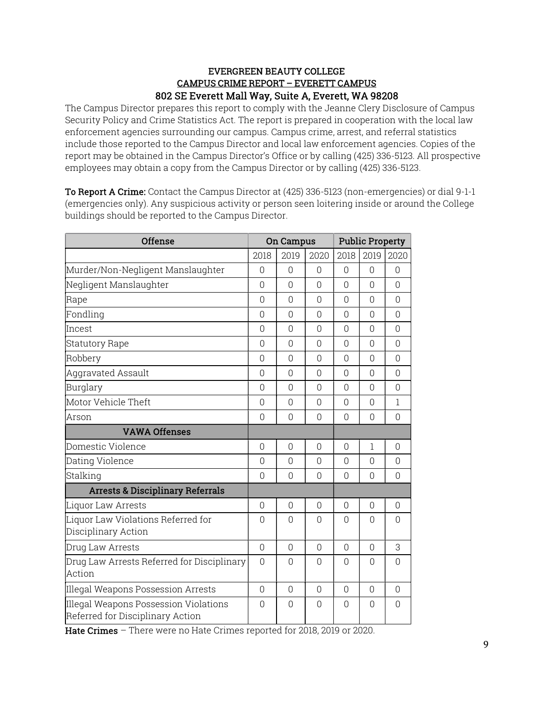# EVERGREEN BEAUTY COLLEGE CAMPUS CRIME REPORT – EVERETT CAMPUS 802 SE Everett Mall Way, Suite A, Everett, WA 98208

The Campus Director prepares this report to comply with the Jeanne Clery Disclosure of Campus Security Policy and Crime Statistics Act. The report is prepared in cooperation with the local law enforcement agencies surrounding our campus. Campus crime, arrest, and referral statistics include those reported to the Campus Director and local law enforcement agencies. Copies of the report may be obtained in the Campus Director's Office or by calling (425) 336-5123. All prospective employees may obtain a copy from the Campus Director or by calling (425) 336-5123.

To Report A Crime: Contact the Campus Director at (425) 336-5123 (non-emergencies) or dial 9-1-1 (emergencies only). Any suspicious activity or person seen loitering inside or around the College buildings should be reported to the Campus Director.

| <b>Offense</b>                                                            | <b>On Campus</b> |                | <b>Public Property</b> |                |              |                |
|---------------------------------------------------------------------------|------------------|----------------|------------------------|----------------|--------------|----------------|
|                                                                           | 2018             | 2019           | 2020                   | 2018           | 2019         | 2020           |
| Murder/Non-Negligent Manslaughter                                         | 0                | $\Omega$       | $\Omega$               | $\overline{0}$ | $\Omega$     | $\Omega$       |
| Negligent Manslaughter                                                    | $\Omega$         | $\Omega$       | $\Omega$               | $\Omega$       | $\bigcap$    | $\Omega$       |
| Rape                                                                      | 0                | $\Omega$       | $\Omega$               | $\Omega$       | $\Omega$     | $\Omega$       |
| Fondling                                                                  | 0                | $\Omega$       | $\Omega$               | $\Omega$       | $\Omega$     | $\Omega$       |
| Incest                                                                    | $\overline{0}$   | $\overline{0}$ | $\overline{0}$         | $\overline{0}$ | 0            | $\overline{0}$ |
| <b>Statutory Rape</b>                                                     | 0                | $\Omega$       | $\Omega$               | $\Omega$       | 0            | $\Omega$       |
| Robbery                                                                   | $\Omega$         | $\Omega$       | $\Omega$               | O              | $\Omega$     | $\Omega$       |
| <b>Aggravated Assault</b>                                                 | 0                | $\Omega$       | $\Omega$               | $\Omega$       | $\Omega$     | $\overline{0}$ |
| Burglary                                                                  |                  | $\Omega$       | $\Omega$               | $\Omega$       | $\Omega$     | $\Omega$       |
| Motor Vehicle Theft                                                       |                  | $\overline{0}$ | 0                      | $\overline{0}$ | 0            | 1              |
| Arson                                                                     |                  | 0              | $\Omega$               | $\Omega$       | 0            | 0              |
| <b>VAWA Offenses</b>                                                      |                  |                |                        |                |              |                |
| Domestic Violence                                                         | $\overline{0}$   | $\overline{0}$ | 0                      | $\overline{0}$ | $\mathbf{1}$ | $\overline{0}$ |
| Dating Violence                                                           |                  | $\Omega$       | $\Omega$               | $\Omega$       | 0            | $\Omega$       |
| Stalking                                                                  |                  | $\Omega$       | $\Omega$               | $\Omega$       | $\Omega$     | $\Omega$       |
| <b>Arrests &amp; Disciplinary Referrals</b>                               |                  |                |                        |                |              |                |
| Liquor Law Arrests                                                        | 0                | $\Omega$       | $\Omega$               | $\Omega$       | 0            | $\Omega$       |
| Liquor Law Violations Referred for<br>Disciplinary Action                 |                  | $\Omega$       | $\Omega$               | $\Omega$       | $\Omega$     | $\Omega$       |
| Drug Law Arrests                                                          | $\mathbf 0$      | $\overline{0}$ | $\overline{0}$         | $\Omega$       | 0            | 3              |
| Drug Law Arrests Referred for Disciplinary<br>Action                      |                  | $\Omega$       | $\Omega$               | $\Omega$       | 0            | $\Omega$       |
| Illegal Weapons Possession Arrests                                        | $\Omega$         | $\Omega$       | 0                      | $\Omega$       | $\Omega$     | $\Omega$       |
| Illegal Weapons Possession Violations<br>Referred for Disciplinary Action | $\Omega$         | $\Omega$       | $\bigcap$              | $\bigcap$      | $\cap$       | $\Omega$       |

Hate Crimes – There were no Hate Crimes reported for 2018, 2019 or 2020.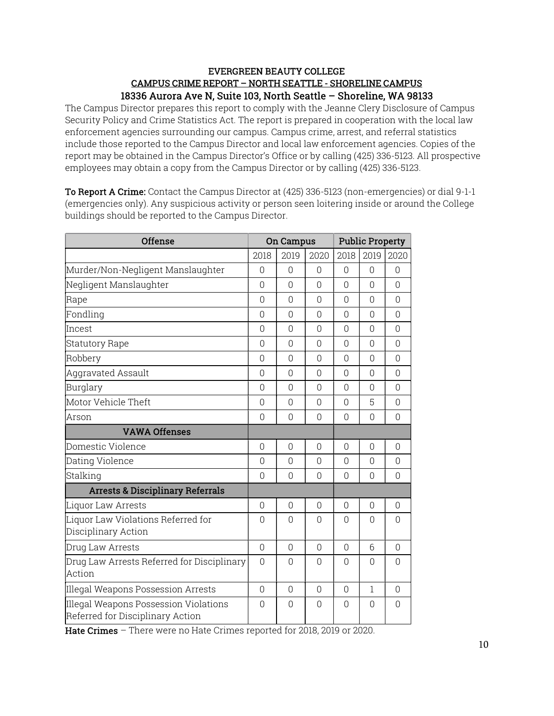#### EVERGREEN BEAUTY COLLEGE CAMPUS CRIME REPORT – NORTH SEATTLE - SHORELINE CAMPUS 18336 Aurora Ave N, Suite 103, North Seattle – Shoreline, WA 98133

The Campus Director prepares this report to comply with the Jeanne Clery Disclosure of Campus Security Policy and Crime Statistics Act. The report is prepared in cooperation with the local law enforcement agencies surrounding our campus. Campus crime, arrest, and referral statistics include those reported to the Campus Director and local law enforcement agencies. Copies of the report may be obtained in the Campus Director's Office or by calling (425) 336-5123. All prospective employees may obtain a copy from the Campus Director or by calling (425) 336-5123.

To Report A Crime: Contact the Campus Director at (425) 336-5123 (non-emergencies) or dial 9-1-1 (emergencies only). Any suspicious activity or person seen loitering inside or around the College buildings should be reported to the Campus Director.

| <b>Offense</b>                                                            | <b>On Campus</b> |                | <b>Public Property</b> |          |                |                |
|---------------------------------------------------------------------------|------------------|----------------|------------------------|----------|----------------|----------------|
|                                                                           | 2018             | 2019           | 2020                   | 2018     | 2019           | 2020           |
| Murder/Non-Negligent Manslaughter                                         | $\overline{0}$   | $\Omega$       | $\Omega$               | $\Omega$ | $\Omega$       | $\Omega$       |
| Negligent Manslaughter                                                    | $\Omega$         | $\overline{0}$ | 0                      | $\Omega$ | 0              | $\overline{0}$ |
| Rape                                                                      | $\Omega$         | $\Omega$       | $\Omega$               | $\Omega$ | $\Omega$       | $\Omega$       |
| Fondling                                                                  | $\Omega$         | $\Omega$       | $\Omega$               | $\Omega$ | $\Omega$       | $\Omega$       |
| Incest                                                                    | $\mathbf 0$      | $\Omega$       | $\Omega$               | $\Omega$ | 0              | $\Omega$       |
| <b>Statutory Rape</b>                                                     | $\Omega$         | $\Omega$       | $\Omega$               | $\Omega$ | $\Omega$       | $\Omega$       |
| Robbery                                                                   | $\Omega$         | $\Omega$       | $\Omega$               | $\Omega$ | $\Omega$       | $\Omega$       |
| Aggravated Assault                                                        | $\Omega$         | $\Omega$       | $\Omega$               | $\Omega$ | $\Omega$       | $\Omega$       |
| Burglary                                                                  |                  | $\overline{0}$ | 0                      | $\Omega$ | 0              | 0              |
| Motor Vehicle Theft                                                       |                  | $\Omega$       | $\Omega$               | $\Omega$ | 5              | $\Omega$       |
| Arson                                                                     |                  | $\overline{0}$ | $\Omega$               | $\Omega$ | $\overline{0}$ | 0              |
| <b>VAWA Offenses</b>                                                      |                  |                |                        |          |                |                |
| Domestic Violence                                                         | $\Omega$         | $\Omega$       | $\Omega$               | $\Omega$ | $\Omega$       | $\Omega$       |
| Dating Violence                                                           |                  | $\Omega$       | $\Omega$               | $\Omega$ | $\Omega$       | $\Omega$       |
| Stalking                                                                  |                  | $\Omega$       | $\Omega$               | $\Omega$ | 0              | $\Omega$       |
| <b>Arrests &amp; Disciplinary Referrals</b>                               |                  |                |                        |          |                |                |
| Liquor Law Arrests                                                        | $\Omega$         | $\Omega$       | $\Omega$               | $\Omega$ | $\Omega$       | $\Omega$       |
| Liquor Law Violations Referred for<br>Disciplinary Action                 |                  | $\Omega$       | $\Omega$               | $\Omega$ | $\Omega$       | 0              |
| Drug Law Arrests                                                          | $\overline{0}$   | $\Omega$       | $\Omega$               | $\Omega$ | 6              | $\Omega$       |
| Drug Law Arrests Referred for Disciplinary<br>Action                      |                  | $\Omega$       | $\Omega$               | $\Omega$ | $\Omega$       | $\overline{0}$ |
| Illegal Weapons Possession Arrests                                        | 0                | $\Omega$       | $\Omega$               | $\Omega$ | 1              | $\Omega$       |
| Illegal Weapons Possession Violations<br>Referred for Disciplinary Action | $\overline{0}$   | $\Omega$       | $\Omega$               | $\Omega$ | $\Omega$       | $\overline{0}$ |

Hate Crimes - There were no Hate Crimes reported for 2018, 2019 or 2020.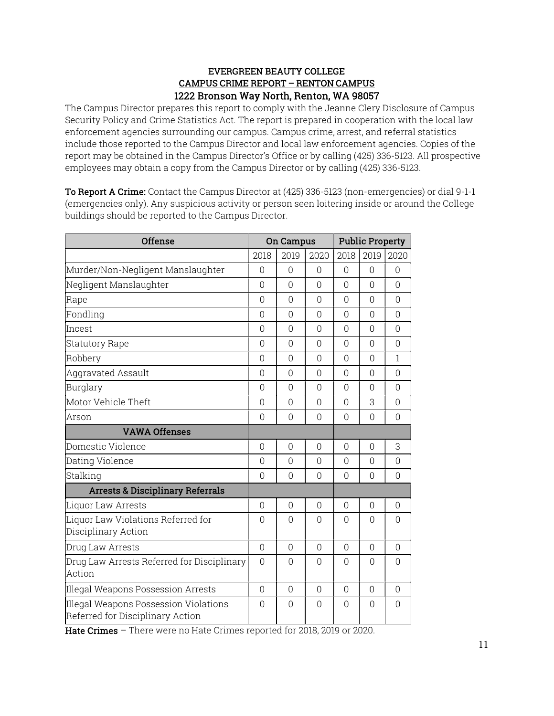# EVERGREEN BEAUTY COLLEGE CAMPUS CRIME REPORT – RENTON CAMPUS 1222 Bronson Way North, Renton, WA 98057

The Campus Director prepares this report to comply with the Jeanne Clery Disclosure of Campus Security Policy and Crime Statistics Act. The report is prepared in cooperation with the local law enforcement agencies surrounding our campus. Campus crime, arrest, and referral statistics include those reported to the Campus Director and local law enforcement agencies. Copies of the report may be obtained in the Campus Director's Office or by calling (425) 336-5123. All prospective employees may obtain a copy from the Campus Director or by calling (425) 336-5123.

To Report A Crime: Contact the Campus Director at (425) 336-5123 (non-emergencies) or dial 9-1-1 (emergencies only). Any suspicious activity or person seen loitering inside or around the College buildings should be reported to the Campus Director.

| <b>Offense</b>                                                            | <b>On Campus</b> |                | <b>Public Property</b> |                |                |                |
|---------------------------------------------------------------------------|------------------|----------------|------------------------|----------------|----------------|----------------|
|                                                                           | 2018             | 2019           | 2020                   | 2018           | 2019           | 2020           |
| Murder/Non-Negligent Manslaughter                                         | $\Omega$         | $\Omega$       | $\Omega$               | 0              | $\Omega$       | $\Omega$       |
| Negligent Manslaughter                                                    | $\Omega$         | $\Omega$       | $\Omega$               | $\Omega$       | $\bigcap$      | $\Omega$       |
| Rape                                                                      | 0                | $\Omega$       | $\Omega$               | $\Omega$       | $\Omega$       | $\Omega$       |
| Fondling                                                                  | 0                | $\Omega$       | $\Omega$               | $\Omega$       | $\Omega$       | $\Omega$       |
| Incest                                                                    | $\mathbf 0$      | $\overline{0}$ | $\overline{0}$         | $\overline{0}$ | $\overline{0}$ | $\overline{0}$ |
| <b>Statutory Rape</b>                                                     | 0                | $\Omega$       | $\Omega$               | $\Omega$       | $\Omega$       | $\Omega$       |
| Robbery                                                                   | $\Omega$         | $\Omega$       | $\Omega$               | $\Omega$       | $\Omega$       | $\mathbf{1}$   |
| <b>Aggravated Assault</b>                                                 | 0                | $\Omega$       | $\Omega$               | $\Omega$       | $\Omega$       | $\Omega$       |
| Burglary                                                                  |                  | $\Omega$       | $\Omega$               | $\Omega$       | 0              | $\Omega$       |
| Motor Vehicle Theft                                                       |                  | $\overline{0}$ | $\overline{0}$         | $\overline{0}$ | 3              | $\overline{0}$ |
| Arson                                                                     |                  | $\Omega$       | $\overline{0}$         | $\Omega$       | $\overline{0}$ | $\overline{0}$ |
| <b>VAWA Offenses</b>                                                      |                  |                |                        |                |                |                |
| Domestic Violence                                                         | $\overline{0}$   | $\overline{0}$ | $\overline{0}$         | $\overline{0}$ | 0              | 3              |
| Dating Violence                                                           |                  | $\Omega$       | $\Omega$               | $\Omega$       | $\Omega$       | $\Omega$       |
| Stalking                                                                  | $\Omega$         | $\Omega$       | $\Omega$               | $\Omega$       | $\Omega$       | $\Omega$       |
| <b>Arrests &amp; Disciplinary Referrals</b>                               |                  |                |                        |                |                |                |
| Liquor Law Arrests                                                        | 0                | $\overline{0}$ | $\Omega$               | 0              | 0              | $\Omega$       |
| Liquor Law Violations Referred for<br>Disciplinary Action                 |                  | $\Omega$       | $\Omega$               | $\Omega$       | $\Omega$       | $\Omega$       |
| Drug Law Arrests                                                          | $\mathbf 0$      | $\overline{0}$ | $\Omega$               | 0              | 0              | $\Omega$       |
| Drug Law Arrests Referred for Disciplinary<br>Action                      |                  | $\Omega$       | $\Omega$               | $\Omega$       | $\Omega$       | $\Omega$       |
| Illegal Weapons Possession Arrests                                        | $\Omega$         | $\Omega$       | $\Omega$               | 0              | 0              | $\Omega$       |
| Illegal Weapons Possession Violations<br>Referred for Disciplinary Action | $\Omega$         | $\Omega$       | $\Omega$               | $\bigcap$      | $\bigcap$      | $\Omega$       |

Hate Crimes – There were no Hate Crimes reported for 2018, 2019 or 2020.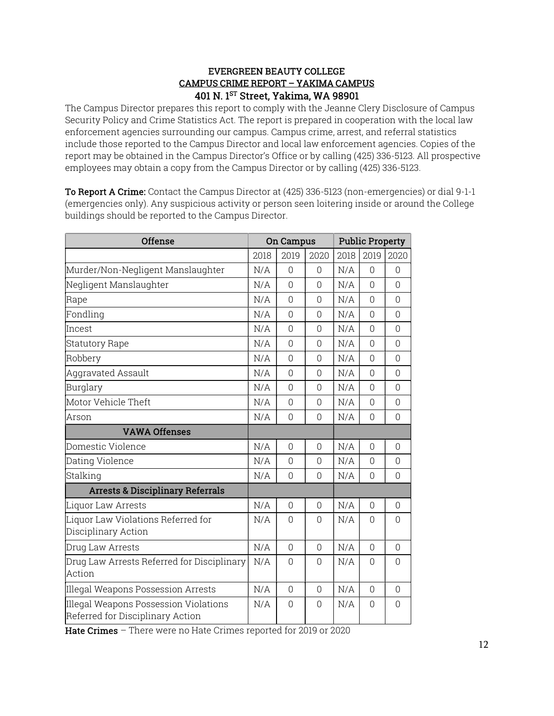# EVERGREEN BEAUTY COLLEGE CAMPUS CRIME REPORT – YAKIMA CAMPUS 401 N. 1ST Street, Yakima, WA 98901

The Campus Director prepares this report to comply with the Jeanne Clery Disclosure of Campus Security Policy and Crime Statistics Act. The report is prepared in cooperation with the local law enforcement agencies surrounding our campus. Campus crime, arrest, and referral statistics include those reported to the Campus Director and local law enforcement agencies. Copies of the report may be obtained in the Campus Director's Office or by calling (425) 336-5123. All prospective employees may obtain a copy from the Campus Director or by calling (425) 336-5123.

To Report A Crime: Contact the Campus Director at (425) 336-5123 (non-emergencies) or dial 9-1-1 (emergencies only). Any suspicious activity or person seen loitering inside or around the College buildings should be reported to the Campus Director.

| <b>Offense</b>                                                            | On Campus |                | <b>Public Property</b> |      |          |                |
|---------------------------------------------------------------------------|-----------|----------------|------------------------|------|----------|----------------|
|                                                                           | 2018      | 2019           | 2020                   | 2018 | 2019     | 2020           |
| Murder/Non-Negligent Manslaughter                                         | N/A       | $\Omega$       | $\Omega$               | N/A  | $\Omega$ | $\Omega$       |
| Negligent Manslaughter                                                    | N/A       | $\Omega$       | $\Omega$               | N/A  | $\Omega$ | $\Omega$       |
| Rape                                                                      |           | $\overline{0}$ | $\overline{0}$         | N/A  | 0        | $\overline{0}$ |
| Fondling                                                                  | N/A       | $\overline{0}$ | $\Omega$               | N/A  | $\Omega$ | $\overline{0}$ |
| Incest                                                                    | N/A       | $\Omega$       | $\overline{0}$         | N/A  | $\Omega$ | $\Omega$       |
| <b>Statutory Rape</b>                                                     | N/A       | 0              | $\overline{0}$         | N/A  | 0        | $\Omega$       |
| Robbery                                                                   | N/A       | $\Omega$       | $\Omega$               | N/A  | $\Omega$ | $\overline{0}$ |
| Aggravated Assault                                                        | N/A       | $\Omega$       | $\Omega$               | N/A  | $\Omega$ | 0              |
| Burglary                                                                  | N/A       | $\Omega$       | $\Omega$               | N/A  | $\Omega$ | $\overline{0}$ |
| Motor Vehicle Theft                                                       | N/A       | $\Omega$       | $\Omega$               | N/A  | $\Omega$ | 0              |
| Arson                                                                     |           | 0              | $\Omega$               | N/A  | 0        | 0              |
| <b>VAWA Offenses</b>                                                      |           |                |                        |      |          |                |
| Domestic Violence                                                         | N/A       | 0              | $\overline{0}$         | N/A  | 0        | $\Omega$       |
| Dating Violence                                                           | N/A       | $\overline{0}$ | $\overline{0}$         | N/A  | $\Omega$ | 0              |
| Stalking                                                                  | N/A<br>0  |                | $\overline{0}$         | N/A  | 0        | $\Omega$       |
| <b>Arrests &amp; Disciplinary Referrals</b>                               |           |                |                        |      |          |                |
| Liquor Law Arrests                                                        | N/A       | 0              | $\theta$               | N/A  | 0        | $\Omega$       |
| Liquor Law Violations Referred for<br>Disciplinary Action                 |           | $\Omega$       | $\Omega$               | N/A  | 0        | 0              |
| Drug Law Arrests                                                          | N/A       | $\overline{0}$ | $\overline{0}$         | N/A  | $\Omega$ | $\Omega$       |
| Drug Law Arrests Referred for Disciplinary<br>Action                      | N/A       | 0              | $\Omega$               | N/A  | 0        | 0              |
| Illegal Weapons Possession Arrests                                        | N/A       | $\Omega$       | $\Omega$               | N/A  | $\Omega$ | $\Omega$       |
| Illegal Weapons Possession Violations<br>Referred for Disciplinary Action | N/A       | 0              | $\Omega$               | N/A  | 0        | $\Omega$       |

Hate Crimes – There were no Hate Crimes reported for 2019 or 2020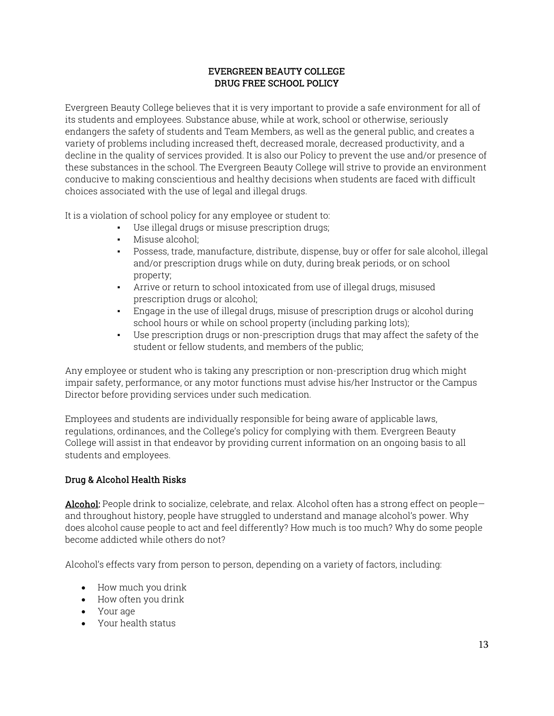# EVERGREEN BEAUTY COLLEGE DRUG FREE SCHOOL POLICY

Evergreen Beauty College believes that it is very important to provide a safe environment for all of its students and employees. Substance abuse, while at work, school or otherwise, seriously endangers the safety of students and Team Members, as well as the general public, and creates a variety of problems including increased theft, decreased morale, decreased productivity, and a decline in the quality of services provided. It is also our Policy to prevent the use and/or presence of these substances in the school. The Evergreen Beauty College will strive to provide an environment conducive to making conscientious and healthy decisions when students are faced with difficult choices associated with the use of legal and illegal drugs.

It is a violation of school policy for any employee or student to:

- Use illegal drugs or misuse prescription drugs;
- Misuse alcohol;
- Possess, trade, manufacture, distribute, dispense, buy or offer for sale alcohol, illegal and/or prescription drugs while on duty, during break periods, or on school property;
- Arrive or return to school intoxicated from use of illegal drugs, misused prescription drugs or alcohol;
- Engage in the use of illegal drugs, misuse of prescription drugs or alcohol during school hours or while on school property (including parking lots);
- Use prescription drugs or non-prescription drugs that may affect the safety of the student or fellow students, and members of the public;

Any employee or student who is taking any prescription or non-prescription drug which might impair safety, performance, or any motor functions must advise his/her Instructor or the Campus Director before providing services under such medication.

Employees and students are individually responsible for being aware of applicable laws, regulations, ordinances, and the College's policy for complying with them. Evergreen Beauty College will assist in that endeavor by providing current information on an ongoing basis to all students and employees.

# Drug & Alcohol Health Risks

Alcohol: People drink to socialize, celebrate, and relax. Alcohol often has a strong effect on peopleand throughout history, people have struggled to understand and manage alcohol's power. Why does alcohol cause people to act and feel differently? How much is too much? Why do some people become addicted while others do not?

Alcohol's effects vary from person to person, depending on a variety of factors, including:

- How much you drink
- How often you drink
- Your age
- Your health status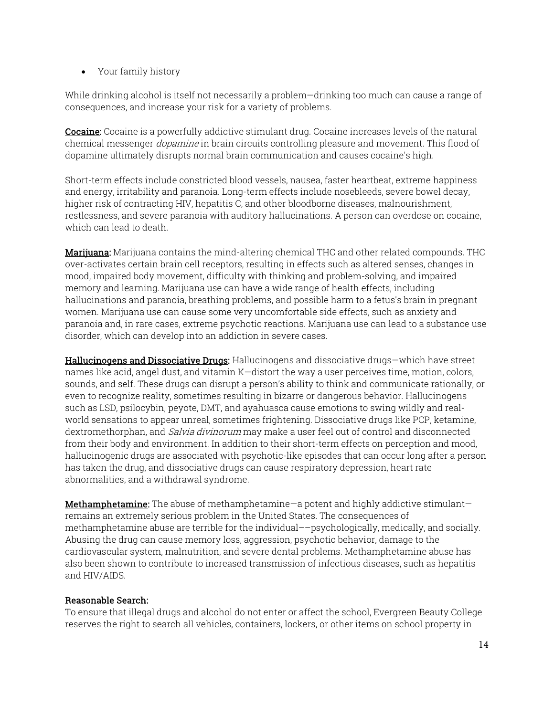Your family history

While drinking alcohol is itself not necessarily a problem—drinking too much can cause a range of consequences, and increase your risk for a variety of problems.

Cocaine: Cocaine is a powerfully addictive stimulant drug. Cocaine increases levels of the natural chemical messenger *dopamine* in brain circuits controlling pleasure and movement. This flood of dopamine ultimately disrupts normal brain communication and causes cocaine's high.

Short-term effects include constricted blood vessels, nausea, faster heartbeat, extreme happiness and energy, irritability and paranoia. Long-term effects include nosebleeds, severe bowel decay, higher risk of contracting HIV, hepatitis C, and other bloodborne diseases, malnourishment, restlessness, and severe paranoia with auditory hallucinations. A person can overdose on cocaine, which can lead to death.

**Marijuana:** Marijuana contains the mind-altering chemical THC and other related compounds. THC over-activates certain brain cell receptors, resulting in effects such as altered senses, changes in mood, impaired body movement, difficulty with thinking and problem-solving, and impaired memory and learning. Marijuana use can have a wide range of health effects, including hallucinations and paranoia, breathing problems, and possible harm to a fetus's brain in pregnant women. Marijuana use can cause some very uncomfortable side effects, such as anxiety and paranoia and, in rare cases, extreme psychotic reactions. Marijuana use can lead to a substance use disorder, which can develop into an addiction in severe cases.

Hallucinogens and Dissociative Drugs: Hallucinogens and dissociative drugs—which have street names like acid, angel dust, and vitamin K—distort the way a user perceives time, motion, colors, sounds, and self. These drugs can disrupt a person's ability to think and communicate rationally, or even to recognize reality, sometimes resulting in bizarre or dangerous behavior. Hallucinogens such as LSD, psilocybin, peyote, DMT, and ayahuasca cause emotions to swing wildly and realworld sensations to appear unreal, sometimes frightening. Dissociative drugs like PCP, ketamine, dextromethorphan, and *Salvia divinorum* may make a user feel out of control and disconnected from their body and environment. In addition to their short-term effects on perception and mood, hallucinogenic drugs are associated with psychotic-like episodes that can occur long after a person has taken the drug, and dissociative drugs can cause respiratory depression, heart rate abnormalities, and a withdrawal syndrome.

Methamphetamine: The abuse of methamphetamine—a potent and highly addictive stimulant remains an extremely serious problem in the United States. The consequences of methamphetamine abuse are terrible for the individual––psychologically, medically, and socially. Abusing the drug can cause memory loss, aggression, psychotic behavior, damage to the cardiovascular system, malnutrition, and severe dental problems. Methamphetamine abuse has also been shown to contribute to increased transmission of infectious diseases, such as hepatitis and HIV/AIDS.

# Reasonable Search:

To ensure that illegal drugs and alcohol do not enter or affect the school, Evergreen Beauty College reserves the right to search all vehicles, containers, lockers, or other items on school property in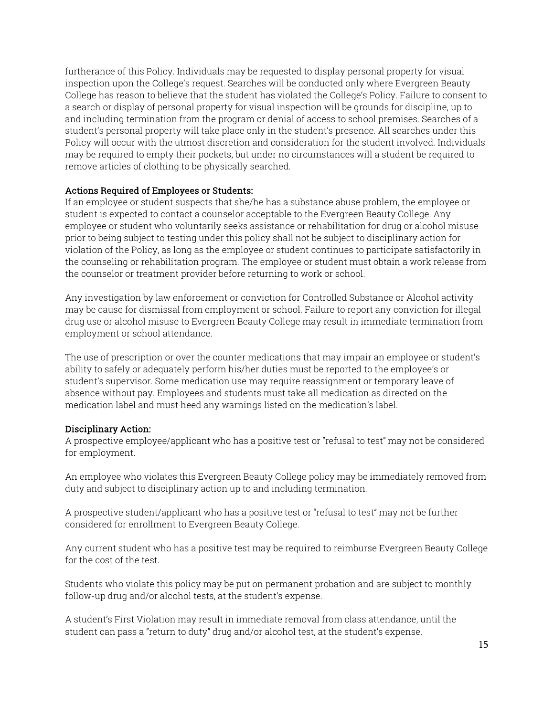furtherance of this Policy. Individuals may be requested to display personal property for visual inspection upon the College's request. Searches will be conducted only where Evergreen Beauty College has reason to believe that the student has violated the College's Policy. Failure to consent to a search or display of personal property for visual inspection will be grounds for discipline, up to and including termination from the program or denial of access to school premises. Searches of a student's personal property will take place only in the student's presence. All searches under this Policy will occur with the utmost discretion and consideration for the student involved. Individuals may be required to empty their pockets, but under no circumstances will a student be required to remove articles of clothing to be physically searched.

#### Actions Required of Employees or Students:

If an employee or student suspects that she/he has a substance abuse problem, the employee or student is expected to contact a counselor acceptable to the Evergreen Beauty College. Any employee or student who voluntarily seeks assistance or rehabilitation for drug or alcohol misuse prior to being subject to testing under this policy shall not be subject to disciplinary action for violation of the Policy, as long as the employee or student continues to participate satisfactorily in the counseling or rehabilitation program. The employee or student must obtain a work release from the counselor or treatment provider before returning to work or school.

Any investigation by law enforcement or conviction for Controlled Substance or Alcohol activity may be cause for dismissal from employment or school. Failure to report any conviction for illegal drug use or alcohol misuse to Evergreen Beauty College may result in immediate termination from employment or school attendance.

The use of prescription or over the counter medications that may impair an employee or student's ability to safely or adequately perform his/her duties must be reported to the employee's or student's supervisor. Some medication use may require reassignment or temporary leave of absence without pay. Employees and students must take all medication as directed on the medication label and must heed any warnings listed on the medication's label.

#### Disciplinary Action:

A prospective employee/applicant who has a positive test or "refusal to test" may not be considered for employment.

An employee who violates this Evergreen Beauty College policy may be immediately removed from duty and subject to disciplinary action up to and including termination.

A prospective student/applicant who has a positive test or "refusal to test" may not be further considered for enrollment to Evergreen Beauty College.

Any current student who has a positive test may be required to reimburse Evergreen Beauty College for the cost of the test.

Students who violate this policy may be put on permanent probation and are subject to monthly follow-up drug and/or alcohol tests, at the student's expense.

A student's First Violation may result in immediate removal from class attendance, until the student can pass a "return to duty" drug and/or alcohol test, at the student's expense.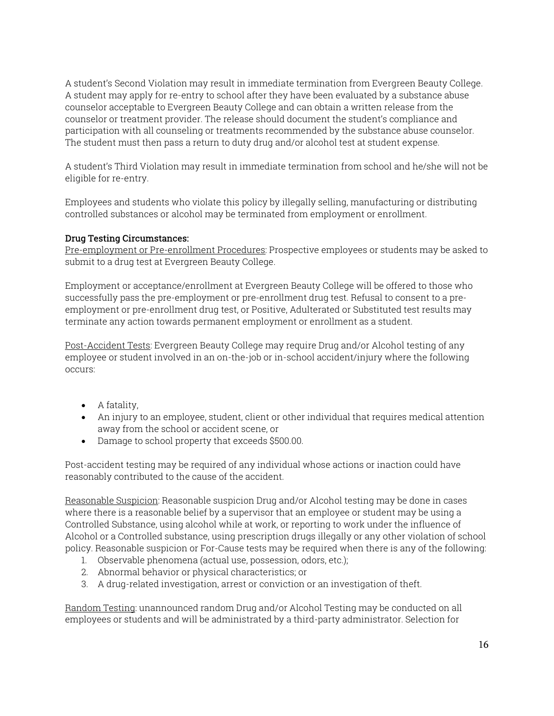A student's Second Violation may result in immediate termination from Evergreen Beauty College. A student may apply for re-entry to school after they have been evaluated by a substance abuse counselor acceptable to Evergreen Beauty College and can obtain a written release from the counselor or treatment provider. The release should document the student's compliance and participation with all counseling or treatments recommended by the substance abuse counselor. The student must then pass a return to duty drug and/or alcohol test at student expense.

A student's Third Violation may result in immediate termination from school and he/she will not be eligible for re-entry.

Employees and students who violate this policy by illegally selling, manufacturing or distributing controlled substances or alcohol may be terminated from employment or enrollment.

# Drug Testing Circumstances:

Pre-employment or Pre-enrollment Procedures: Prospective employees or students may be asked to submit to a drug test at Evergreen Beauty College.

Employment or acceptance/enrollment at Evergreen Beauty College will be offered to those who successfully pass the pre-employment or pre-enrollment drug test. Refusal to consent to a preemployment or pre-enrollment drug test, or Positive, Adulterated or Substituted test results may terminate any action towards permanent employment or enrollment as a student.

Post-Accident Tests: Evergreen Beauty College may require Drug and/or Alcohol testing of any employee or student involved in an on-the-job or in-school accident/injury where the following occurs:

- A fatality,
- An injury to an employee, student, client or other individual that requires medical attention away from the school or accident scene, or
- Damage to school property that exceeds \$500.00.

Post-accident testing may be required of any individual whose actions or inaction could have reasonably contributed to the cause of the accident.

Reasonable Suspicion: Reasonable suspicion Drug and/or Alcohol testing may be done in cases where there is a reasonable belief by a supervisor that an employee or student may be using a Controlled Substance, using alcohol while at work, or reporting to work under the influence of Alcohol or a Controlled substance, using prescription drugs illegally or any other violation of school policy. Reasonable suspicion or For-Cause tests may be required when there is any of the following:

- 1. Observable phenomena (actual use, possession, odors, etc.);
- 2. Abnormal behavior or physical characteristics; or
- 3. A drug-related investigation, arrest or conviction or an investigation of theft.

Random Testing: unannounced random Drug and/or Alcohol Testing may be conducted on all employees or students and will be administrated by a third-party administrator. Selection for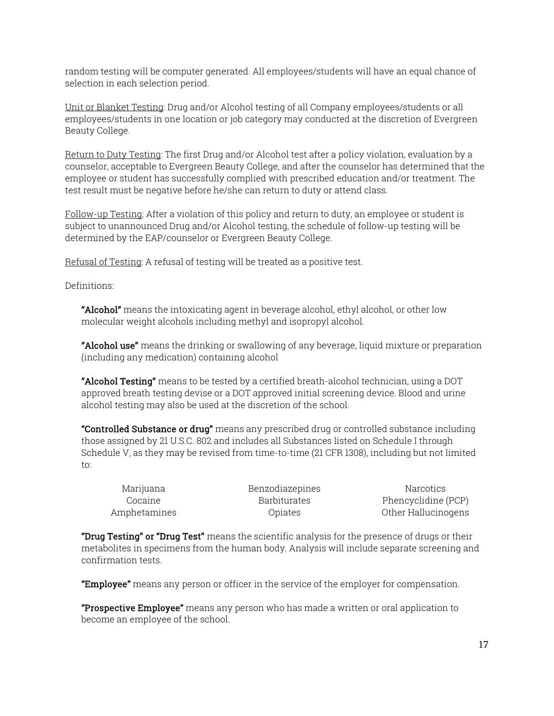random testing will be computer generated. All employees/students will have an equal chance of selection in each selection period.

Unit or Blanket Testing: Drug and/or Alcohol testing of all Company employees/students or all employees/students in one location or job category may conducted at the discretion of Evergreen Beauty College.

Return to Duty Testing: The first Drug and/or Alcohol test after a policy violation, evaluation by a counselor, acceptable to Evergreen Beauty College, and after the counselor has determined that the employee or student has successfully complied with prescribed education and/or treatment. The test result must be negative before he/she can return to duty or attend class.

Follow-up Testing: After a violation of this policy and return to duty, an employee or student is subject to unannounced Drug and/or Alcohol testing, the schedule of follow-up testing will be determined by the EAP/counselor or Evergreen Beauty College.

Refusal of Testing: A refusal of testing will be treated as a positive test.

Definitions:

**"Alcohol"** means the intoxicating agent in beverage alcohol, ethyl alcohol, or other low molecular weight alcohols including methyl and isopropyl alcohol.

**"Alcohol use"** means the drinking or swallowing of any beverage, liquid mixture or preparation (including any medication) containing alcohol

"Alcohol Testing" means to be tested by a certified breath-alcohol technician, using a DOT approved breath testing devise or a DOT approved initial screening device. Blood and urine alcohol testing may also be used at the discretion of the school.

"Controlled Substance or drug" means any prescribed drug or controlled substance including those assigned by 21 U.S.C. 802 and includes all Substances listed on Schedule I through Schedule V, as they may be revised from time-to-time (21 CFR 1308), including but not limited to:

Marijuana Benzodiazepines Narcotics Cocaine Barbiturates Phencyclidine (PCP) Amphetamines Opiates Other Hallucinogens

"Drug Testing" or "Drug Test" means the scientific analysis for the presence of drugs or their metabolites in specimens from the human body. Analysis will include separate screening and confirmation tests.

**"Employee"** means any person or officer in the service of the employer for compensation.

"Prospective Employee" means any person who has made a written or oral application to become an employee of the school.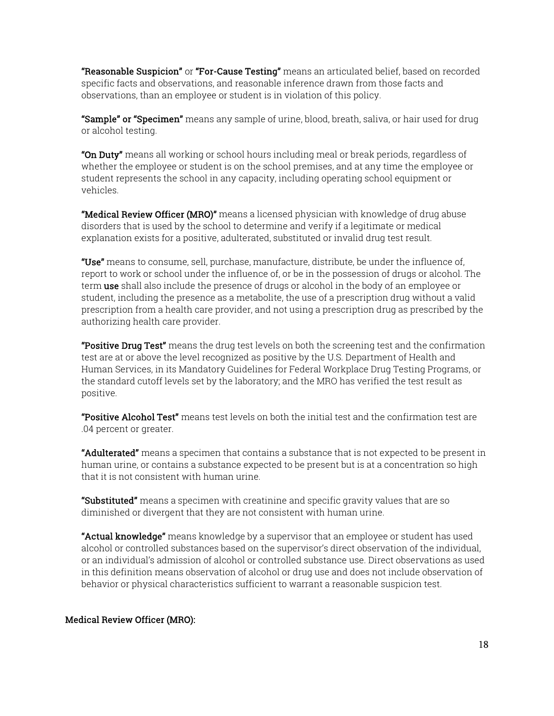**"Reasonable Suspicion"** or **"For-Cause Testing"** means an articulated belief, based on recorded specific facts and observations, and reasonable inference drawn from those facts and observations, than an employee or student is in violation of this policy.

"Sample" or "Specimen" means any sample of urine, blood, breath, saliva, or hair used for drug or alcohol testing.

"On Duty" means all working or school hours including meal or break periods, regardless of whether the employee or student is on the school premises, and at any time the employee or student represents the school in any capacity, including operating school equipment or vehicles.

**"Medical Review Officer (MRO)"** means a licensed physician with knowledge of drug abuse disorders that is used by the school to determine and verify if a legitimate or medical explanation exists for a positive, adulterated, substituted or invalid drug test result.

"Use" means to consume, sell, purchase, manufacture, distribute, be under the influence of, report to work or school under the influence of, or be in the possession of drugs or alcohol. The term use shall also include the presence of drugs or alcohol in the body of an employee or student, including the presence as a metabolite, the use of a prescription drug without a valid prescription from a health care provider, and not using a prescription drug as prescribed by the authorizing health care provider.

**"Positive Drug Test"** means the drug test levels on both the screening test and the confirmation test are at or above the level recognized as positive by the U.S. Department of Health and Human Services, in its Mandatory Guidelines for Federal Workplace Drug Testing Programs, or the standard cutoff levels set by the laboratory; and the MRO has verified the test result as positive.

"Positive Alcohol Test" means test levels on both the initial test and the confirmation test are .04 percent or greater.

**"Adulterated"** means a specimen that contains a substance that is not expected to be present in human urine, or contains a substance expected to be present but is at a concentration so high that it is not consistent with human urine.

**"Substituted"** means a specimen with creatinine and specific gravity values that are so diminished or divergent that they are not consistent with human urine.

**"Actual knowledge"** means knowledge by a supervisor that an employee or student has used alcohol or controlled substances based on the supervisor's direct observation of the individual, or an individual's admission of alcohol or controlled substance use. Direct observations as used in this definition means observation of alcohol or drug use and does not include observation of behavior or physical characteristics sufficient to warrant a reasonable suspicion test.

# Medical Review Officer (MRO):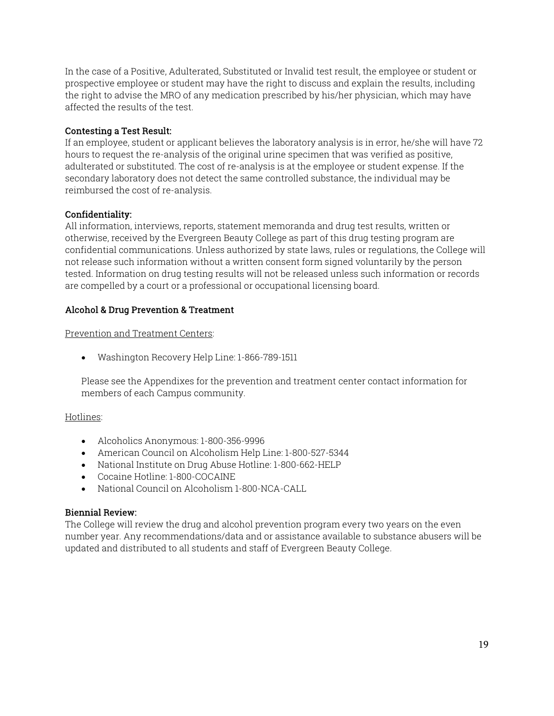In the case of a Positive, Adulterated, Substituted or Invalid test result, the employee or student or prospective employee or student may have the right to discuss and explain the results, including the right to advise the MRO of any medication prescribed by his/her physician, which may have affected the results of the test.

#### Contesting a Test Result:

If an employee, student or applicant believes the laboratory analysis is in error, he/she will have 72 hours to request the re-analysis of the original urine specimen that was verified as positive, adulterated or substituted. The cost of re-analysis is at the employee or student expense. If the secondary laboratory does not detect the same controlled substance, the individual may be reimbursed the cost of re-analysis.

#### Confidentiality:

All information, interviews, reports, statement memoranda and drug test results, written or otherwise, received by the Evergreen Beauty College as part of this drug testing program are confidential communications. Unless authorized by state laws, rules or regulations, the College will not release such information without a written consent form signed voluntarily by the person tested. Information on drug testing results will not be released unless such information or records are compelled by a court or a professional or occupational licensing board.

#### Alcohol & Drug Prevention & Treatment

Prevention and Treatment Centers:

Washington Recovery Help Line: 1-866-789-1511

Please see the Appendixes for the prevention and treatment center contact information for members of each Campus community.

#### Hotlines:

- Alcoholics Anonymous: 1-800-356-9996
- American Council on Alcoholism Help Line: 1-800-527-5344
- National Institute on Drug Abuse Hotline: 1-800-662-HELP
- Cocaine Hotline: 1-800-COCAINE
- National Council on Alcoholism 1-800-NCA-CALL

#### Biennial Review:

The College will review the drug and alcohol prevention program every two years on the even number year. Any recommendations/data and or assistance available to substance abusers will be updated and distributed to all students and staff of Evergreen Beauty College.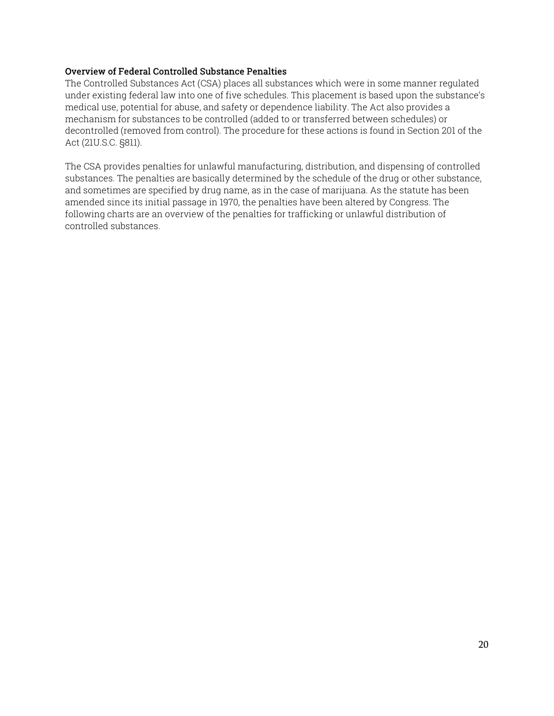# Overview of Federal Controlled Substance Penalties

The Controlled Substances Act (CSA) places all substances which were in some manner regulated under existing federal law into one of five schedules. This placement is based upon the substance's medical use, potential for abuse, and safety or dependence liability. The Act also provides a mechanism for substances to be controlled (added to or transferred between schedules) or decontrolled (removed from control). The procedure for these actions is found in Section 201 of the Act (21U.S.C. §811).

The CSA provides penalties for unlawful manufacturing, distribution, and dispensing of controlled substances. The penalties are basically determined by the schedule of the drug or other substance, and sometimes are specified by drug name, as in the case of marijuana. As the statute has been amended since its initial passage in 1970, the penalties have been altered by Congress. The following charts are an overview of the penalties for trafficking or unlawful distribution of controlled substances.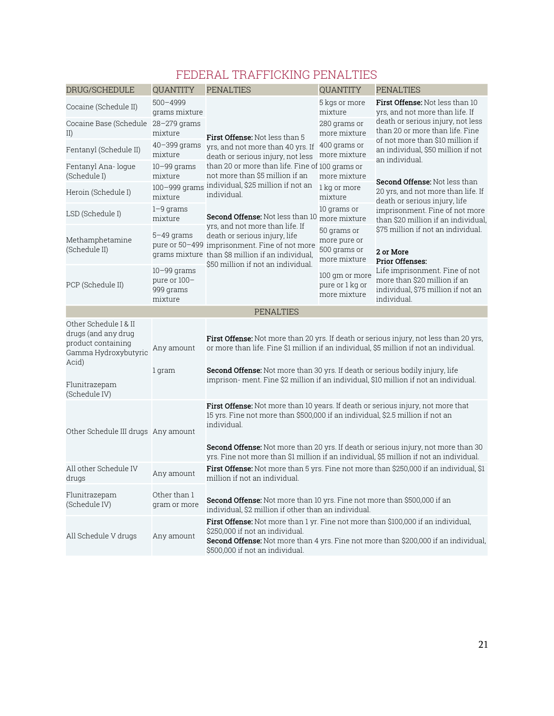# FEDERAL TRAFFICKING PENALTIES

| DRUG/SCHEDULE                                                                                                                                                                                                                                                                                                                                                                                                    | QUANTITY                                                | <b>PENALTIES</b>                                                                                                                                                                                                                                                                                                                                                  | <b>QUANTITY</b>                                             | <b>PENALTIES</b>                                                                                                    |  |  |
|------------------------------------------------------------------------------------------------------------------------------------------------------------------------------------------------------------------------------------------------------------------------------------------------------------------------------------------------------------------------------------------------------------------|---------------------------------------------------------|-------------------------------------------------------------------------------------------------------------------------------------------------------------------------------------------------------------------------------------------------------------------------------------------------------------------------------------------------------------------|-------------------------------------------------------------|---------------------------------------------------------------------------------------------------------------------|--|--|
| Cocaine (Schedule II)                                                                                                                                                                                                                                                                                                                                                                                            | $500 - 4999$<br>grams mixture                           |                                                                                                                                                                                                                                                                                                                                                                   | 5 kgs or more<br>mixture                                    | <b>First Offense:</b> Not less than 10<br>yrs, and not more than life. If                                           |  |  |
| Cocaine Base (Schedule<br>II)                                                                                                                                                                                                                                                                                                                                                                                    | 28-279 grams<br>mixture                                 | <b>First Offense:</b> Not less than 5                                                                                                                                                                                                                                                                                                                             | 280 grams or<br>more mixture                                | death or serious injury, not less<br>than 20 or more than life. Fine                                                |  |  |
| Fentanyl (Schedule II)                                                                                                                                                                                                                                                                                                                                                                                           | $40 - 399$ grams<br>mixture                             | yrs, and not more than 40 yrs. If<br>death or serious injury, not less                                                                                                                                                                                                                                                                                            | 400 grams or<br>more mixture                                | of not more than \$10 million if<br>an individual, \$50 million if not<br>an individual.                            |  |  |
| Fentanyl Ana- loque<br>(Schedule I)                                                                                                                                                                                                                                                                                                                                                                              | $10-99$ grams<br>mixture                                | than 20 or more than life. Fine of 100 grams or<br>not more than \$5 million if an                                                                                                                                                                                                                                                                                | more mixture                                                | <b>Second Offense: Not less than</b>                                                                                |  |  |
| Heroin (Schedule I)                                                                                                                                                                                                                                                                                                                                                                                              | 100-999 grams<br>mixture                                | individual, \$25 million if not an<br>individual.                                                                                                                                                                                                                                                                                                                 | 1 kg or more<br>mixture                                     | 20 yrs, and not more than life. If<br>death or serious injury, life                                                 |  |  |
| LSD (Schedule I)                                                                                                                                                                                                                                                                                                                                                                                                 | $1-9$ grams<br>mixture                                  | 10 grams or<br><b>Second Offense:</b> Not less than 10 more mixture                                                                                                                                                                                                                                                                                               |                                                             | imprisonment. Fine of not more<br>than \$20 million if an individual,                                               |  |  |
| Methamphetamine<br>(Schedule II)                                                                                                                                                                                                                                                                                                                                                                                 | 5–49 grams                                              | yrs, and not more than life. If<br>death or serious injury, life<br>pure or 50-499 imprisonment. Fine of not more<br>grams mixture than \$8 million if an individual,                                                                                                                                                                                             | 50 grams or<br>more pure or<br>500 grams or<br>more mixture | \$75 million if not an individual.<br>2 or More<br><b>Prior Offenses:</b>                                           |  |  |
| PCP (Schedule II)                                                                                                                                                                                                                                                                                                                                                                                                | $10 - 99$ grams<br>pure or 100-<br>999 grams<br>mixture | \$50 million if not an individual.                                                                                                                                                                                                                                                                                                                                | 100 gm or more<br>pure or 1 kg or<br>more mixture           | Life imprisonment. Fine of not<br>more than \$20 million if an<br>individual, \$75 million if not an<br>individual. |  |  |
|                                                                                                                                                                                                                                                                                                                                                                                                                  |                                                         | <b>PENALTIES</b>                                                                                                                                                                                                                                                                                                                                                  |                                                             |                                                                                                                     |  |  |
| Other Schedule I & II<br>drugs (and any drug<br>product containing<br>Gamma Hydroxybutyric<br>Acid)<br>Flunitrazepam                                                                                                                                                                                                                                                                                             | Any amount<br>1 gram                                    | <b>First Offense:</b> Not more than 20 yrs. If death or serious injury, not less than 20 yrs,<br>or more than life. Fine \$1 million if an individual, \$5 million if not an individual.<br>Second Offense: Not more than 30 yrs. If death or serious bodily injury, life<br>imprison-ment. Fine \$2 million if an individual, \$10 million if not an individual. |                                                             |                                                                                                                     |  |  |
| (Schedule IV)                                                                                                                                                                                                                                                                                                                                                                                                    |                                                         |                                                                                                                                                                                                                                                                                                                                                                   |                                                             |                                                                                                                     |  |  |
| <b>First Offense:</b> Not more than 10 years. If death or serious injury, not more that<br>15 yrs. Fine not more than \$500,000 if an individual, \$2.5 million if not an<br>individual.<br>Other Schedule III drugs Any amount<br>Second Offense: Not more than 20 yrs. If death or serious injury, not more than 30<br>yrs. Fine not more than \$1 million if an individual, \$5 million if not an individual. |                                                         |                                                                                                                                                                                                                                                                                                                                                                   |                                                             |                                                                                                                     |  |  |
| All other Schedule IV<br>drugs                                                                                                                                                                                                                                                                                                                                                                                   | Any amount                                              | million if not an individual.                                                                                                                                                                                                                                                                                                                                     |                                                             | First Offense: Not more than 5 yrs. Fine not more than \$250,000 if an individual, \$1                              |  |  |
| Flunitrazepam<br>(Schedule IV)                                                                                                                                                                                                                                                                                                                                                                                   | Other than 1<br>gram or more                            | <b>Second Offense:</b> Not more than 10 yrs. Fine not more than \$500,000 if an<br>individual, \$2 million if other than an individual.                                                                                                                                                                                                                           |                                                             |                                                                                                                     |  |  |
| All Schedule V drugs                                                                                                                                                                                                                                                                                                                                                                                             | Any amount                                              | First Offense: Not more than 1 yr. Fine not more than \$100,000 if an individual,<br>\$250,000 if not an individual.<br>Second Offense: Not more than 4 yrs. Fine not more than \$200,000 if an individual,<br>\$500,000 if not an individual.                                                                                                                    |                                                             |                                                                                                                     |  |  |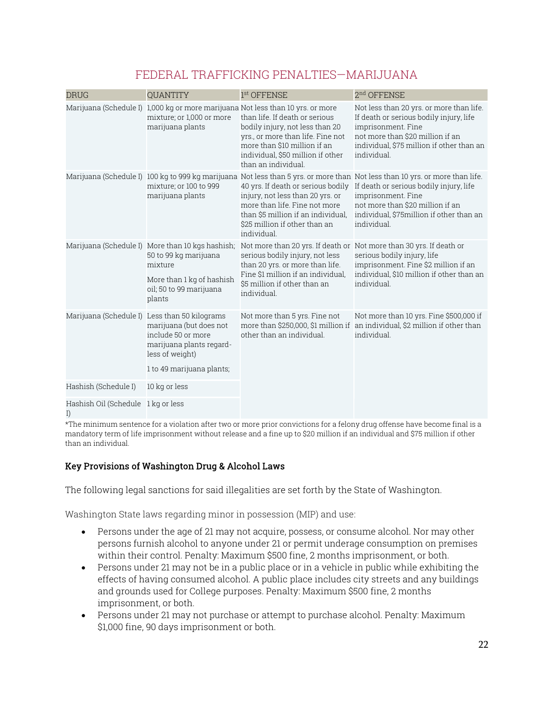| <b>DRUG</b>                              | <b>QUANTITY</b>                                                                                                                                                            | 1 <sup>st</sup> OFFENSE                                                                                                                                                                                                                                                               | 2 <sup>nd</sup> OFFENSE                                                                                                                                                                                                                                                                                                         |
|------------------------------------------|----------------------------------------------------------------------------------------------------------------------------------------------------------------------------|---------------------------------------------------------------------------------------------------------------------------------------------------------------------------------------------------------------------------------------------------------------------------------------|---------------------------------------------------------------------------------------------------------------------------------------------------------------------------------------------------------------------------------------------------------------------------------------------------------------------------------|
|                                          | mixture; or 1,000 or more<br>marijuana plants                                                                                                                              | Marijuana (Schedule I) 1,000 kg or more marijuana Not less than 10 yrs. or more<br>than life. If death or serious<br>bodily injury, not less than 20<br>yrs., or more than life. Fine not<br>more than \$10 million if an<br>individual, \$50 million if other<br>than an individual. | Not less than 20 yrs. or more than life.<br>If death or serious bodily injury, life<br>imprisonment. Fine<br>not more than \$20 million if an<br>individual, \$75 million if other than an<br>individual.                                                                                                                       |
|                                          | mixture; or 100 to 999<br>marijuana plants                                                                                                                                 | injury, not less than 20 yrs. or<br>more than life. Fine not more<br>than \$5 million if an individual,<br>\$25 million if other than an<br>individual.                                                                                                                               | Marijuana (Schedule I) 100 kg to 999 kg marijuana Not less than 5 yrs. or more than Not less than 10 yrs. or more than life.<br>40 yrs. If death or serious bodily If death or serious bodily injury, life<br>imprisonment. Fine<br>not more than \$20 million if an<br>individual, \$75million if other than an<br>individual. |
|                                          | Marijuana (Schedule I) More than 10 kgs hashish;<br>50 to 99 kg marijuana<br>mixture<br>More than 1 kg of hashish<br>oil; 50 to 99 marijuana<br>plants                     | Not more than 20 yrs. If death or Not more than 30 yrs. If death or<br>serious bodily injury, not less<br>than 20 yrs. or more than life.<br>Fine \$1 million if an individual,<br>\$5 million if other than an<br>individual.                                                        | serious bodily injury, life<br>imprisonment. Fine \$2 million if an<br>individual, \$10 million if other than an<br>individual.                                                                                                                                                                                                 |
|                                          | Marijuana (Schedule I) Less than 50 kilograms<br>marijuana (but does not<br>include 50 or more<br>marijuana plants regard-<br>less of weight)<br>1 to 49 marijuana plants; | Not more than 5 yrs. Fine not<br>more than \$250,000, \$1 million if<br>other than an individual.                                                                                                                                                                                     | Not more than 10 yrs. Fine \$500,000 if<br>an individual, \$2 million if other than<br>individual.                                                                                                                                                                                                                              |
| Hashish (Schedule I)                     | 10 kg or less                                                                                                                                                              |                                                                                                                                                                                                                                                                                       |                                                                                                                                                                                                                                                                                                                                 |
| Hashish Oil (Schedule 1 kg or less<br>I) |                                                                                                                                                                            |                                                                                                                                                                                                                                                                                       |                                                                                                                                                                                                                                                                                                                                 |

# FEDERAL TRAFFICKING PENALTIES—MARIJUANA

\*The minimum sentence for a violation after two or more prior convictions for a felony drug offense have become final is a mandatory term of life imprisonment without release and a fine up to \$20 million if an individual and \$75 million if other than an individual.

# Key Provisions of Washington Drug & Alcohol Laws

The following legal sanctions for said illegalities are set forth by the State of Washington.

Washington State laws regarding minor in possession (MIP) and use:

- Persons under the age of 21 may not acquire, possess, or consume alcohol. Nor may other persons furnish alcohol to anyone under 21 or permit underage consumption on premises within their control. Penalty: Maximum \$500 fine, 2 months imprisonment, or both.
- Persons under 21 may not be in a public place or in a vehicle in public while exhibiting the effects of having consumed alcohol. A public place includes city streets and any buildings and grounds used for College purposes. Penalty: Maximum \$500 fine, 2 months imprisonment, or both.
- Persons under 21 may not purchase or attempt to purchase alcohol. Penalty: Maximum \$1,000 fine, 90 days imprisonment or both.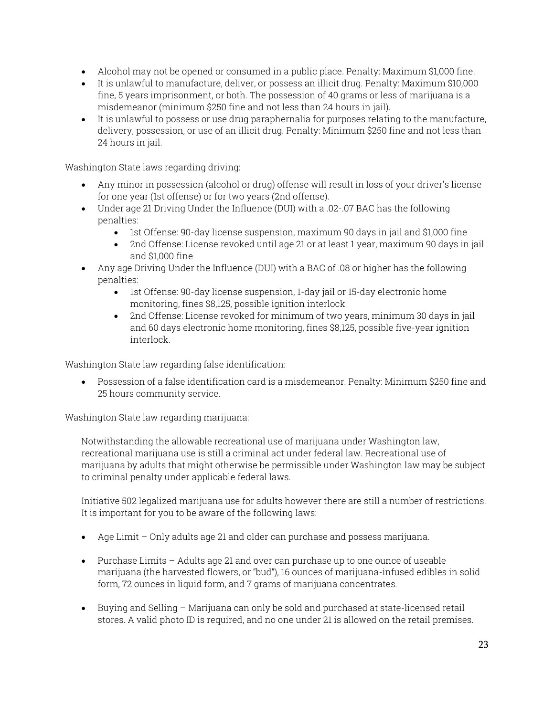- Alcohol may not be opened or consumed in a public place. Penalty: Maximum \$1,000 fine.
- It is unlawful to manufacture, deliver, or possess an illicit drug. Penalty: Maximum \$10,000 fine, 5 years imprisonment, or both. The possession of 40 grams or less of marijuana is a misdemeanor (minimum \$250 fine and not less than 24 hours in jail).
- It is unlawful to possess or use drug paraphernalia for purposes relating to the manufacture, delivery, possession, or use of an illicit drug. Penalty: Minimum \$250 fine and not less than 24 hours in jail.

Washington State laws regarding driving:

- Any minor in possession (alcohol or drug) offense will result in loss of your driver's license for one year (1st offense) or for two years (2nd offense).
- Under age 21 Driving Under the Influence (DUI) with a .02-.07 BAC has the following penalties:
	- Ist Offense: 90-day license suspension, maximum 90 days in jail and \$1,000 fine
	- 2nd Offense: License revoked until age 21 or at least 1 year, maximum 90 days in jail and \$1,000 fine
- Any age Driving Under the Influence (DUI) with a BAC of .08 or higher has the following penalties:
	- 1st Offense: 90-day license suspension, 1-day jail or 15-day electronic home monitoring, fines \$8,125, possible ignition interlock
	- 2nd Offense: License revoked for minimum of two years, minimum 30 days in jail and 60 days electronic home monitoring, fines \$8,125, possible five-year ignition interlock.

Washington State law regarding false identification:

 Possession of a false identification card is a misdemeanor. Penalty: Minimum \$250 fine and 25 hours community service.

Washington State law regarding marijuana:

Notwithstanding the allowable recreational use of marijuana under Washington law, recreational marijuana use is still a criminal act under federal law. Recreational use of marijuana by adults that might otherwise be permissible under Washington law may be subject to criminal penalty under applicable federal laws.

Initiative 502 legalized marijuana use for adults however there are still a number of restrictions. It is important for you to be aware of the following laws:

- Age Limit Only adults age 21 and older can purchase and possess marijuana.
- Purchase Limits Adults age 21 and over can purchase up to one ounce of useable marijuana (the harvested flowers, or "bud"), 16 ounces of marijuana-infused edibles in solid form, 72 ounces in liquid form, and 7 grams of marijuana concentrates.
- $\bullet$  Buying and Selling Marijuana can only be sold and purchased at state-licensed retail stores. A valid photo ID is required, and no one under 21 is allowed on the retail premises.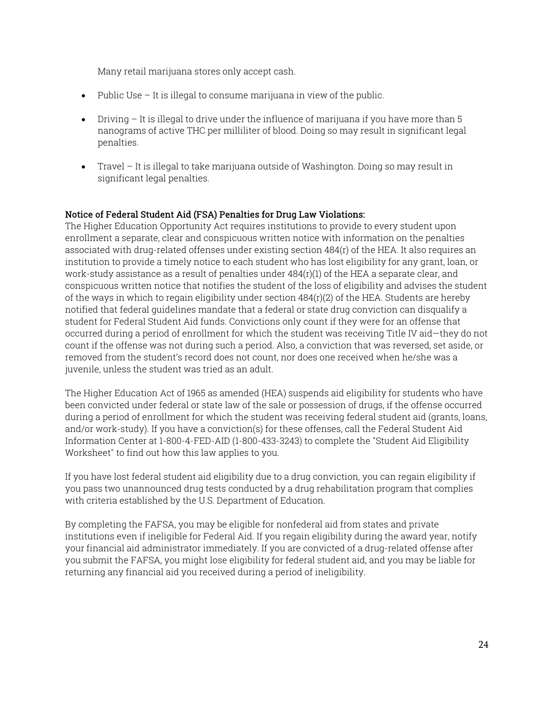Many retail marijuana stores only accept cash.

- $\bullet$  Public Use It is illegal to consume marijuana in view of the public.
- $\bullet$  Driving It is illegal to drive under the influence of marijuana if you have more than 5 nanograms of active THC per milliliter of blood. Doing so may result in significant legal penalties.
- Travel It is illegal to take marijuana outside of Washington. Doing so may result in significant legal penalties.

# Notice of Federal Student Aid (FSA) Penalties for Drug Law Violations:

The Higher Education Opportunity Act requires institutions to provide to every student upon enrollment a separate, clear and conspicuous written notice with information on the penalties associated with drug-related offenses under existing section 484(r) of the HEA. It also requires an institution to provide a timely notice to each student who has lost eligibility for any grant, loan, or work-study assistance as a result of penalties under 484(r)(1) of the HEA a separate clear, and conspicuous written notice that notifies the student of the loss of eligibility and advises the student of the ways in which to regain eligibility under section  $484(r)(2)$  of the HEA. Students are hereby notified that federal guidelines mandate that a federal or state drug conviction can disqualify a student for Federal Student Aid funds. Convictions only count if they were for an offense that occurred during a period of enrollment for which the student was receiving Title IV aid—they do not count if the offense was not during such a period. Also, a conviction that was reversed, set aside, or removed from the student's record does not count, nor does one received when he/she was a juvenile, unless the student was tried as an adult.

The Higher Education Act of 1965 as amended (HEA) suspends aid eligibility for students who have been convicted under federal or state law of the sale or possession of drugs, if the offense occurred during a period of enrollment for which the student was receiving federal student aid (grants, loans, and/or work-study). If you have a conviction(s) for these offenses, call the Federal Student Aid Information Center at 1-800-4-FED-AID (1-800-433-3243) to complete the "Student Aid Eligibility Worksheet" to find out how this law applies to you.

If you have lost federal student aid eligibility due to a drug conviction, you can regain eligibility if you pass two unannounced drug tests conducted by a drug rehabilitation program that complies with criteria established by the U.S. Department of Education.

By completing the FAFSA, you may be eligible for nonfederal aid from states and private institutions even if ineligible for Federal Aid. If you regain eligibility during the award year, notify your financial aid administrator immediately. If you are convicted of a drug-related offense after you submit the FAFSA, you might lose eligibility for federal student aid, and you may be liable for returning any financial aid you received during a period of ineligibility.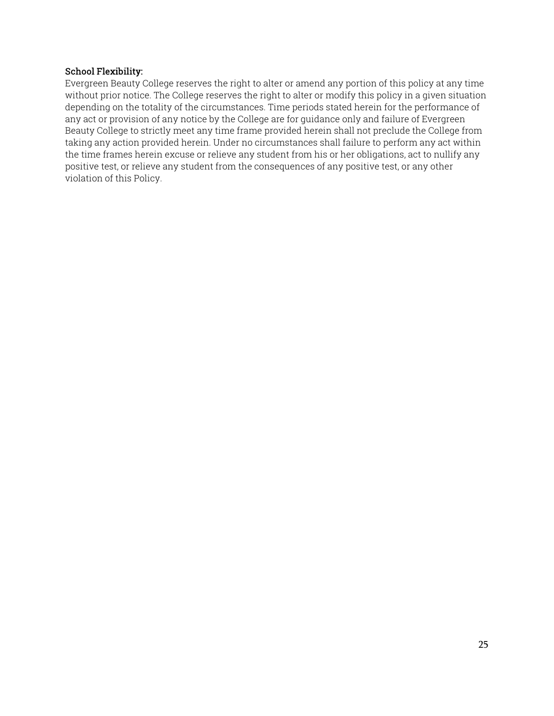#### School Flexibility:

Evergreen Beauty College reserves the right to alter or amend any portion of this policy at any time without prior notice. The College reserves the right to alter or modify this policy in a given situation depending on the totality of the circumstances. Time periods stated herein for the performance of any act or provision of any notice by the College are for guidance only and failure of Evergreen Beauty College to strictly meet any time frame provided herein shall not preclude the College from taking any action provided herein. Under no circumstances shall failure to perform any act within the time frames herein excuse or relieve any student from his or her obligations, act to nullify any positive test, or relieve any student from the consequences of any positive test, or any other violation of this Policy.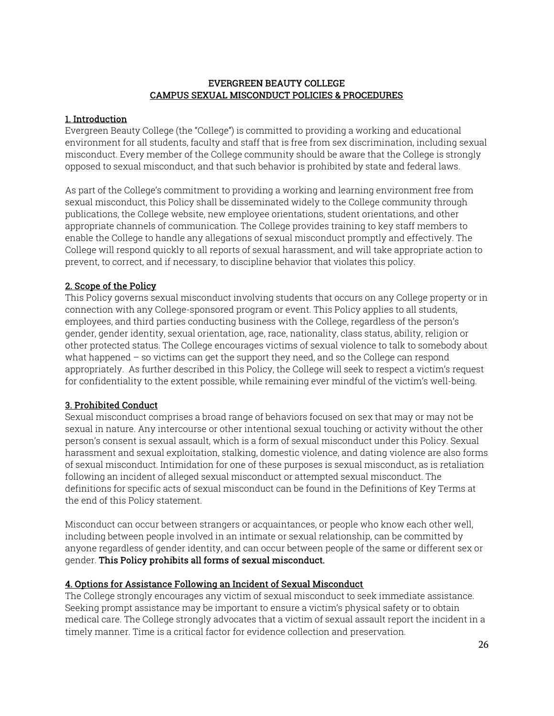#### EVERGREEN BEAUTY COLLEGE CAMPUS SEXUAL MISCONDUCT POLICIES & PROCEDURES

# 1. Introduction

Evergreen Beauty College (the "College") is committed to providing a working and educational environment for all students, faculty and staff that is free from sex discrimination, including sexual misconduct. Every member of the College community should be aware that the College is strongly opposed to sexual misconduct, and that such behavior is prohibited by state and federal laws.

As part of the College's commitment to providing a working and learning environment free from sexual misconduct, this Policy shall be disseminated widely to the College community through publications, the College website, new employee orientations, student orientations, and other appropriate channels of communication. The College provides training to key staff members to enable the College to handle any allegations of sexual misconduct promptly and effectively. The College will respond quickly to all reports of sexual harassment, and will take appropriate action to prevent, to correct, and if necessary, to discipline behavior that violates this policy.

# 2. Scope of the Policy

This Policy governs sexual misconduct involving students that occurs on any College property or in connection with any College-sponsored program or event. This Policy applies to all students, employees, and third parties conducting business with the College, regardless of the person's gender, gender identity, sexual orientation, age, race, nationality, class status, ability, religion or other protected status. The College encourages victims of sexual violence to talk to somebody about what happened – so victims can get the support they need, and so the College can respond appropriately. As further described in this Policy, the College will seek to respect a victim's request for confidentiality to the extent possible, while remaining ever mindful of the victim's well-being.

# 3. Prohibited Conduct

Sexual misconduct comprises a broad range of behaviors focused on sex that may or may not be sexual in nature. Any intercourse or other intentional sexual touching or activity without the other person's consent is sexual assault, which is a form of sexual misconduct under this Policy. Sexual harassment and sexual exploitation, stalking, domestic violence, and dating violence are also forms of sexual misconduct. Intimidation for one of these purposes is sexual misconduct, as is retaliation following an incident of alleged sexual misconduct or attempted sexual misconduct. The definitions for specific acts of sexual misconduct can be found in the Definitions of Key Terms at the end of this Policy statement.

Misconduct can occur between strangers or acquaintances, or people who know each other well, including between people involved in an intimate or sexual relationship, can be committed by anyone regardless of gender identity, and can occur between people of the same or different sex or gender. This Policy prohibits all forms of sexual misconduct.

#### 4. Options for Assistance Following an Incident of Sexual Misconduct

The College strongly encourages any victim of sexual misconduct to seek immediate assistance. Seeking prompt assistance may be important to ensure a victim's physical safety or to obtain medical care. The College strongly advocates that a victim of sexual assault report the incident in a timely manner. Time is a critical factor for evidence collection and preservation.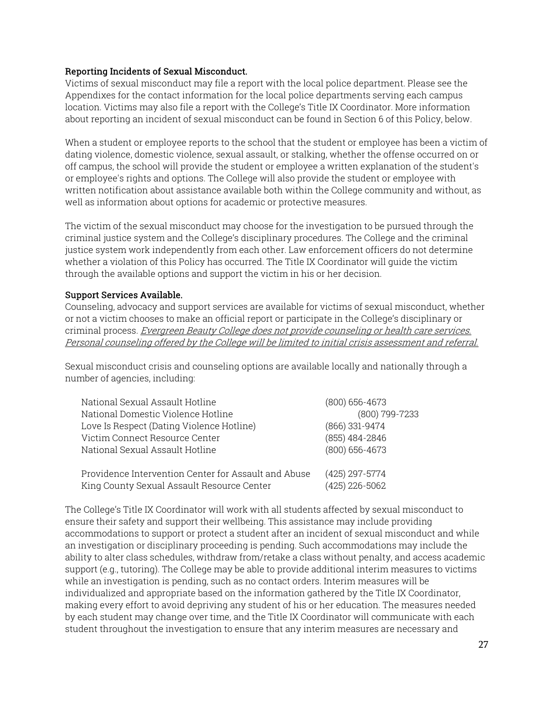#### Reporting Incidents of Sexual Misconduct.

Victims of sexual misconduct may file a report with the local police department. Please see the Appendixes for the contact information for the local police departments serving each campus location. Victims may also file a report with the College's Title IX Coordinator. More information about reporting an incident of sexual misconduct can be found in Section 6 of this Policy, below.

When a student or employee reports to the school that the student or employee has been a victim of dating violence, domestic violence, sexual assault, or stalking, whether the offense occurred on or off campus, the school will provide the student or employee a written explanation of the student's or employee's rights and options. The College will also provide the student or employee with written notification about assistance available both within the College community and without, as well as information about options for academic or protective measures.

The victim of the sexual misconduct may choose for the investigation to be pursued through the criminal justice system and the College's disciplinary procedures. The College and the criminal justice system work independently from each other. Law enforcement officers do not determine whether a violation of this Policy has occurred. The Title IX Coordinator will guide the victim through the available options and support the victim in his or her decision.

#### Support Services Available.

Counseling, advocacy and support services are available for victims of sexual misconduct, whether or not a victim chooses to make an official report or participate in the College's disciplinary or criminal process. Evergreen Beauty College does not provide counseling or health care services. Personal counseling offered by the College will be limited to initial crisis assessment and referral.

Sexual misconduct crisis and counseling options are available locally and nationally through a number of agencies, including:

| National Sexual Assault Hotline                      | $(800)$ 656-4673 |
|------------------------------------------------------|------------------|
| National Domestic Violence Hotline                   | (800) 799-7233   |
| Love Is Respect (Dating Violence Hotline)            | (866) 331-9474   |
| Victim Connect Resource Center                       | (855) 484-2846   |
| National Sexual Assault Hotline                      | $(800)$ 656-4673 |
|                                                      |                  |
| Providence Intervention Center for Assault and Abuse | (425) 297-5774   |
| King County Sexual Assault Resource Center           | (425) 226-5062   |

The College's Title IX Coordinator will work with all students affected by sexual misconduct to ensure their safety and support their wellbeing. This assistance may include providing accommodations to support or protect a student after an incident of sexual misconduct and while an investigation or disciplinary proceeding is pending. Such accommodations may include the ability to alter class schedules, withdraw from/retake a class without penalty, and access academic support (e.g., tutoring). The College may be able to provide additional interim measures to victims while an investigation is pending, such as no contact orders. Interim measures will be individualized and appropriate based on the information gathered by the Title IX Coordinator, making every effort to avoid depriving any student of his or her education. The measures needed by each student may change over time, and the Title IX Coordinator will communicate with each student throughout the investigation to ensure that any interim measures are necessary and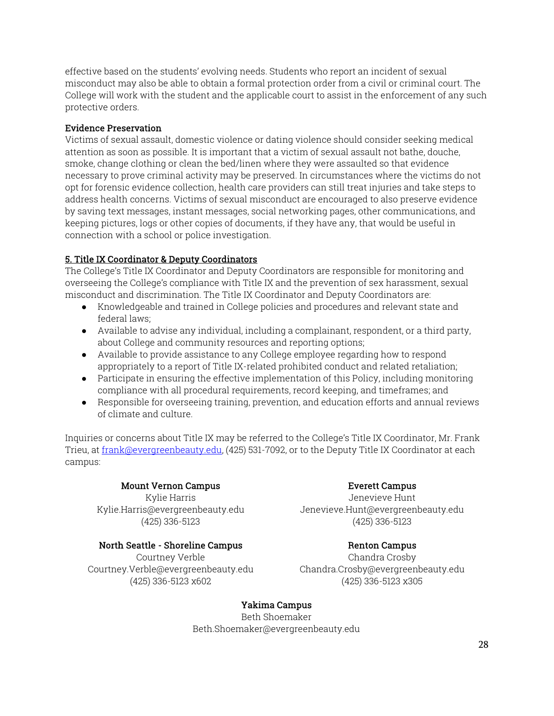effective based on the students' evolving needs. Students who report an incident of sexual misconduct may also be able to obtain a formal protection order from a civil or criminal court. The College will work with the student and the applicable court to assist in the enforcement of any such protective orders.

# Evidence Preservation

Victims of sexual assault, domestic violence or dating violence should consider seeking medical attention as soon as possible. It is important that a victim of sexual assault not bathe, douche, smoke, change clothing or clean the bed/linen where they were assaulted so that evidence necessary to prove criminal activity may be preserved. In circumstances where the victims do not opt for forensic evidence collection, health care providers can still treat injuries and take steps to address health concerns. Victims of sexual misconduct are encouraged to also preserve evidence by saving text messages, instant messages, social networking pages, other communications, and keeping pictures, logs or other copies of documents, if they have any, that would be useful in connection with a school or police investigation.

# 5. Title IX Coordinator & Deputy Coordinators

The College's Title IX Coordinator and Deputy Coordinators are responsible for monitoring and overseeing the College's compliance with Title IX and the prevention of sex harassment, sexual misconduct and discrimination. The Title IX Coordinator and Deputy Coordinators are:

- Knowledgeable and trained in College policies and procedures and relevant state and federal laws;
- Available to advise any individual, including a complainant, respondent, or a third party, about College and community resources and reporting options;
- Available to provide assistance to any College employee regarding how to respond appropriately to a report of Title IX-related prohibited conduct and related retaliation;
- Participate in ensuring the effective implementation of this Policy, including monitoring compliance with all procedural requirements, record keeping, and timeframes; and
- Responsible for overseeing training, prevention, and education efforts and annual reviews of climate and culture.

Inquiries or concerns about Title IX may be referred to the College's Title IX Coordinator, Mr. Frank Trieu, at frank@evergreenbeauty.edu, (425) 531-7092, or to the Deputy Title IX Coordinator at each campus:

# Mount Vernon Campus

Kylie Harris Kylie.Harris@evergreenbeauty.edu (425) 336-5123

# North Seattle - Shoreline Campus

Courtney Verble Courtney.Verble@evergreenbeauty.edu (425) 336-5123 x602

# Everett Campus

Jenevieve Hunt Jenevieve.Hunt@evergreenbeauty.edu (425) 336-5123

# Renton Campus

Chandra Crosby Chandra.Crosby@evergreenbeauty.edu (425) 336-5123 x305

# Yakima Campus

Beth Shoemaker Beth.Shoemaker@evergreenbeauty.edu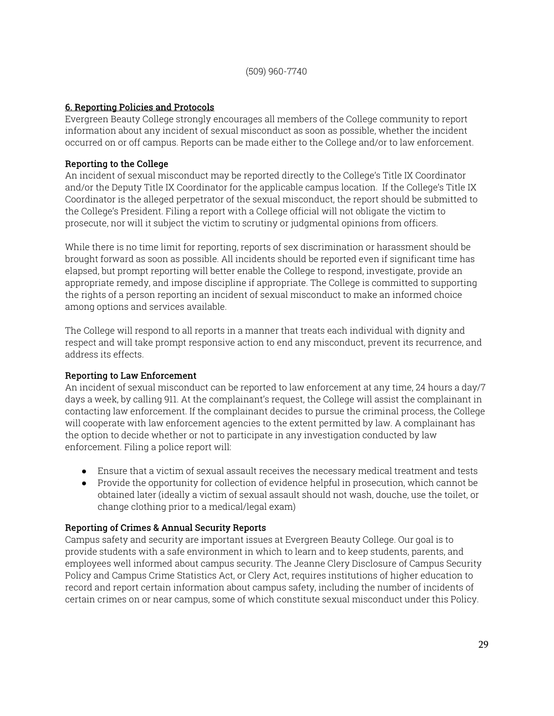# 6. Reporting Policies and Protocols

Evergreen Beauty College strongly encourages all members of the College community to report information about any incident of sexual misconduct as soon as possible, whether the incident occurred on or off campus. Reports can be made either to the College and/or to law enforcement.

# Reporting to the College

An incident of sexual misconduct may be reported directly to the College's Title IX Coordinator and/or the Deputy Title IX Coordinator for the applicable campus location. If the College's Title IX Coordinator is the alleged perpetrator of the sexual misconduct, the report should be submitted to the College's President. Filing a report with a College official will not obligate the victim to prosecute, nor will it subject the victim to scrutiny or judgmental opinions from officers.

While there is no time limit for reporting, reports of sex discrimination or harassment should be brought forward as soon as possible. All incidents should be reported even if significant time has elapsed, but prompt reporting will better enable the College to respond, investigate, provide an appropriate remedy, and impose discipline if appropriate. The College is committed to supporting the rights of a person reporting an incident of sexual misconduct to make an informed choice among options and services available.

The College will respond to all reports in a manner that treats each individual with dignity and respect and will take prompt responsive action to end any misconduct, prevent its recurrence, and address its effects.

# Reporting to Law Enforcement

An incident of sexual misconduct can be reported to law enforcement at any time, 24 hours a day/7 days a week, by calling 911. At the complainant's request, the College will assist the complainant in contacting law enforcement. If the complainant decides to pursue the criminal process, the College will cooperate with law enforcement agencies to the extent permitted by law. A complainant has the option to decide whether or not to participate in any investigation conducted by law enforcement. Filing a police report will:

- Ensure that a victim of sexual assault receives the necessary medical treatment and tests
- Provide the opportunity for collection of evidence helpful in prosecution, which cannot be obtained later (ideally a victim of sexual assault should not wash, douche, use the toilet, or change clothing prior to a medical/legal exam)

# Reporting of Crimes & Annual Security Reports

Campus safety and security are important issues at Evergreen Beauty College. Our goal is to provide students with a safe environment in which to learn and to keep students, parents, and employees well informed about campus security. The Jeanne Clery Disclosure of Campus Security Policy and Campus Crime Statistics Act, or Clery Act, requires institutions of higher education to record and report certain information about campus safety, including the number of incidents of certain crimes on or near campus, some of which constitute sexual misconduct under this Policy.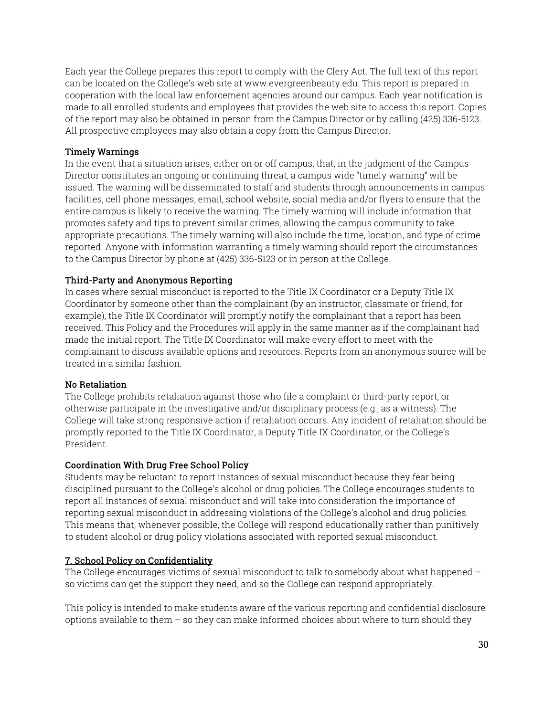Each year the College prepares this report to comply with the Clery Act. The full text of this report can be located on the College's web site at www.evergreenbeauty.edu. This report is prepared in cooperation with the local law enforcement agencies around our campus. Each year notification is made to all enrolled students and employees that provides the web site to access this report. Copies of the report may also be obtained in person from the Campus Director or by calling (425) 336-5123. All prospective employees may also obtain a copy from the Campus Director.

# Timely Warnings

In the event that a situation arises, either on or off campus, that, in the judgment of the Campus Director constitutes an ongoing or continuing threat, a campus wide "timely warning" will be issued. The warning will be disseminated to staff and students through announcements in campus facilities, cell phone messages, email, school website, social media and/or flyers to ensure that the entire campus is likely to receive the warning. The timely warning will include information that promotes safety and tips to prevent similar crimes, allowing the campus community to take appropriate precautions. The timely warning will also include the time, location, and type of crime reported. Anyone with information warranting a timely warning should report the circumstances to the Campus Director by phone at (425) 336-5123 or in person at the College.

#### Third-Party and Anonymous Reporting

In cases where sexual misconduct is reported to the Title IX Coordinator or a Deputy Title IX Coordinator by someone other than the complainant (by an instructor, classmate or friend, for example), the Title IX Coordinator will promptly notify the complainant that a report has been received. This Policy and the Procedures will apply in the same manner as if the complainant had made the initial report. The Title IX Coordinator will make every effort to meet with the complainant to discuss available options and resources. Reports from an anonymous source will be treated in a similar fashion.

#### No Retaliation

The College prohibits retaliation against those who file a complaint or third-party report, or otherwise participate in the investigative and/or disciplinary process (e.g., as a witness). The College will take strong responsive action if retaliation occurs. Any incident of retaliation should be promptly reported to the Title IX Coordinator, a Deputy Title IX Coordinator, or the College's President.

#### Coordination With Drug Free School Policy

Students may be reluctant to report instances of sexual misconduct because they fear being disciplined pursuant to the College's alcohol or drug policies. The College encourages students to report all instances of sexual misconduct and will take into consideration the importance of reporting sexual misconduct in addressing violations of the College's alcohol and drug policies. This means that, whenever possible, the College will respond educationally rather than punitively to student alcohol or drug policy violations associated with reported sexual misconduct.

#### 7. School Policy on Confidentiality

The College encourages victims of sexual misconduct to talk to somebody about what happened – so victims can get the support they need, and so the College can respond appropriately.

This policy is intended to make students aware of the various reporting and confidential disclosure options available to them – so they can make informed choices about where to turn should they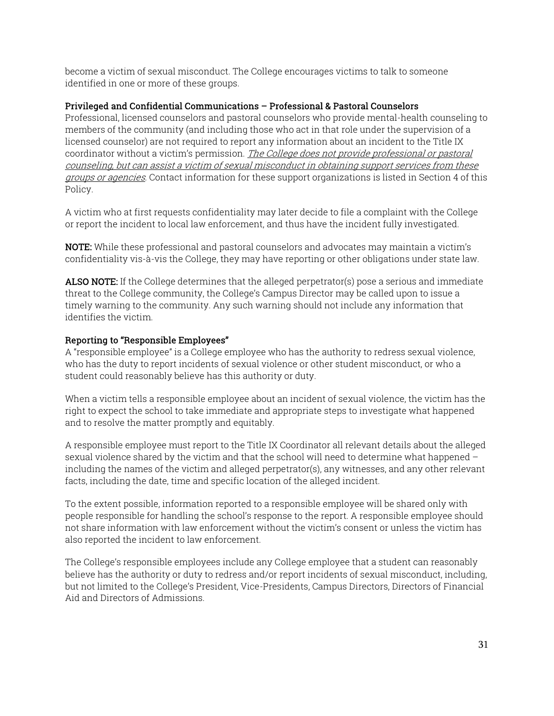become a victim of sexual misconduct. The College encourages victims to talk to someone identified in one or more of these groups.

# Privileged and Confidential Communications – Professional & Pastoral Counselors

Professional, licensed counselors and pastoral counselors who provide mental-health counseling to members of the community (and including those who act in that role under the supervision of a licensed counselor) are not required to report any information about an incident to the Title IX coordinator without a victim's permission. The College does not provide professional or pastoral counseling, but can assist a victim of sexual misconduct in obtaining support services from these groups or agencies. Contact information for these support organizations is listed in Section 4 of this Policy.

A victim who at first requests confidentiality may later decide to file a complaint with the College or report the incident to local law enforcement, and thus have the incident fully investigated.

NOTE: While these professional and pastoral counselors and advocates may maintain a victim's confidentiality vis-à-vis the College, they may have reporting or other obligations under state law.

ALSO NOTE: If the College determines that the alleged perpetrator(s) pose a serious and immediate threat to the College community, the College's Campus Director may be called upon to issue a timely warning to the community. Any such warning should not include any information that identifies the victim.

# Reporting to "Responsible Employees"

A "responsible employee" is a College employee who has the authority to redress sexual violence, who has the duty to report incidents of sexual violence or other student misconduct, or who a student could reasonably believe has this authority or duty.

When a victim tells a responsible employee about an incident of sexual violence, the victim has the right to expect the school to take immediate and appropriate steps to investigate what happened and to resolve the matter promptly and equitably.

A responsible employee must report to the Title IX Coordinator all relevant details about the alleged sexual violence shared by the victim and that the school will need to determine what happened – including the names of the victim and alleged perpetrator(s), any witnesses, and any other relevant facts, including the date, time and specific location of the alleged incident.

To the extent possible, information reported to a responsible employee will be shared only with people responsible for handling the school's response to the report. A responsible employee should not share information with law enforcement without the victim's consent or unless the victim has also reported the incident to law enforcement.

The College's responsible employees include any College employee that a student can reasonably believe has the authority or duty to redress and/or report incidents of sexual misconduct, including, but not limited to the College's President, Vice-Presidents, Campus Directors, Directors of Financial Aid and Directors of Admissions.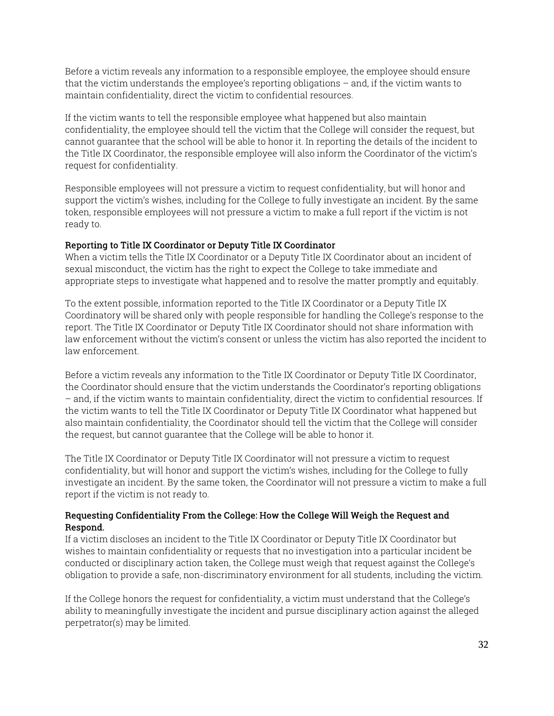Before a victim reveals any information to a responsible employee, the employee should ensure that the victim understands the employee's reporting obligations – and, if the victim wants to maintain confidentiality, direct the victim to confidential resources.

If the victim wants to tell the responsible employee what happened but also maintain confidentiality, the employee should tell the victim that the College will consider the request, but cannot guarantee that the school will be able to honor it. In reporting the details of the incident to the Title IX Coordinator, the responsible employee will also inform the Coordinator of the victim's request for confidentiality.

Responsible employees will not pressure a victim to request confidentiality, but will honor and support the victim's wishes, including for the College to fully investigate an incident. By the same token, responsible employees will not pressure a victim to make a full report if the victim is not ready to.

# Reporting to Title IX Coordinator or Deputy Title IX Coordinator

When a victim tells the Title IX Coordinator or a Deputy Title IX Coordinator about an incident of sexual misconduct, the victim has the right to expect the College to take immediate and appropriate steps to investigate what happened and to resolve the matter promptly and equitably.

To the extent possible, information reported to the Title IX Coordinator or a Deputy Title IX Coordinatory will be shared only with people responsible for handling the College's response to the report. The Title IX Coordinator or Deputy Title IX Coordinator should not share information with law enforcement without the victim's consent or unless the victim has also reported the incident to law enforcement.

Before a victim reveals any information to the Title IX Coordinator or Deputy Title IX Coordinator, the Coordinator should ensure that the victim understands the Coordinator's reporting obligations – and, if the victim wants to maintain confidentiality, direct the victim to confidential resources. If the victim wants to tell the Title IX Coordinator or Deputy Title IX Coordinator what happened but also maintain confidentiality, the Coordinator should tell the victim that the College will consider the request, but cannot guarantee that the College will be able to honor it.

The Title IX Coordinator or Deputy Title IX Coordinator will not pressure a victim to request confidentiality, but will honor and support the victim's wishes, including for the College to fully investigate an incident. By the same token, the Coordinator will not pressure a victim to make a full report if the victim is not ready to.

# Requesting Confidentiality From the College: How the College Will Weigh the Request and Respond.

If a victim discloses an incident to the Title IX Coordinator or Deputy Title IX Coordinator but wishes to maintain confidentiality or requests that no investigation into a particular incident be conducted or disciplinary action taken, the College must weigh that request against the College's obligation to provide a safe, non-discriminatory environment for all students, including the victim.

If the College honors the request for confidentiality, a victim must understand that the College's ability to meaningfully investigate the incident and pursue disciplinary action against the alleged perpetrator(s) may be limited.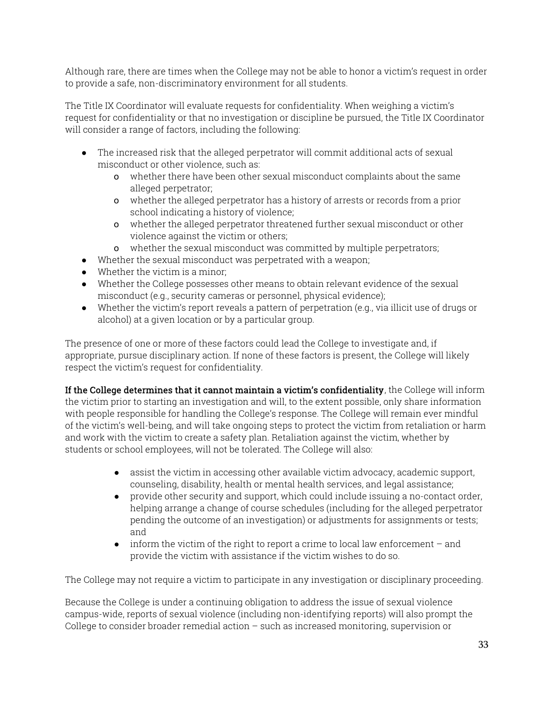Although rare, there are times when the College may not be able to honor a victim's request in order to provide a safe, non-discriminatory environment for all students.

The Title IX Coordinator will evaluate requests for confidentiality. When weighing a victim's request for confidentiality or that no investigation or discipline be pursued, the Title IX Coordinator will consider a range of factors, including the following:

- The increased risk that the alleged perpetrator will commit additional acts of sexual misconduct or other violence, such as:
	- o whether there have been other sexual misconduct complaints about the same alleged perpetrator;
	- o whether the alleged perpetrator has a history of arrests or records from a prior school indicating a history of violence;
	- o whether the alleged perpetrator threatened further sexual misconduct or other violence against the victim or others;
	- o whether the sexual misconduct was committed by multiple perpetrators;
- Whether the sexual misconduct was perpetrated with a weapon;
- Whether the victim is a minor;
- Whether the College possesses other means to obtain relevant evidence of the sexual misconduct (e.g., security cameras or personnel, physical evidence);
- Whether the victim's report reveals a pattern of perpetration (e.g., via illicit use of drugs or alcohol) at a given location or by a particular group.

The presence of one or more of these factors could lead the College to investigate and, if appropriate, pursue disciplinary action. If none of these factors is present, the College will likely respect the victim's request for confidentiality.

If the College determines that it cannot maintain a victim's confidentiality, the College will inform the victim prior to starting an investigation and will, to the extent possible, only share information with people responsible for handling the College's response. The College will remain ever mindful of the victim's well-being, and will take ongoing steps to protect the victim from retaliation or harm and work with the victim to create a safety plan. Retaliation against the victim, whether by students or school employees, will not be tolerated. The College will also:

- assist the victim in accessing other available victim advocacy, academic support, counseling, disability, health or mental health services, and legal assistance;
- provide other security and support, which could include issuing a no-contact order, helping arrange a change of course schedules (including for the alleged perpetrator pending the outcome of an investigation) or adjustments for assignments or tests; and
- $\bullet$  inform the victim of the right to report a crime to local law enforcement and provide the victim with assistance if the victim wishes to do so.

The College may not require a victim to participate in any investigation or disciplinary proceeding.

Because the College is under a continuing obligation to address the issue of sexual violence campus-wide, reports of sexual violence (including non-identifying reports) will also prompt the College to consider broader remedial action – such as increased monitoring, supervision or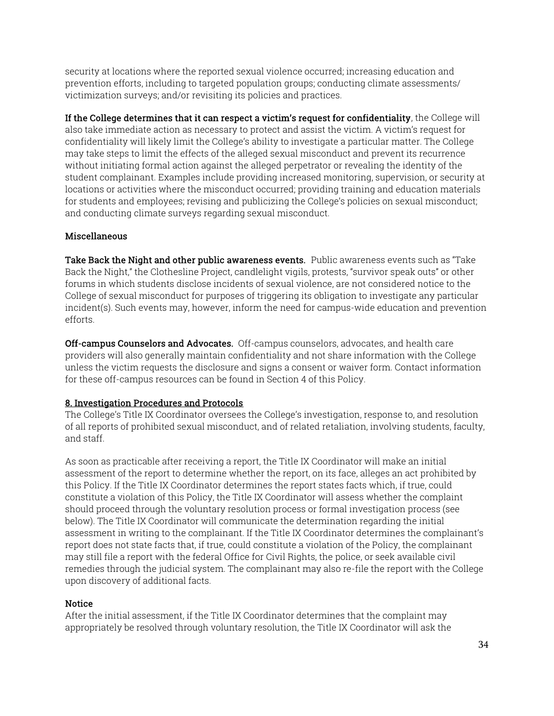security at locations where the reported sexual violence occurred; increasing education and prevention efforts, including to targeted population groups; conducting climate assessments/ victimization surveys; and/or revisiting its policies and practices.

If the College determines that it can respect a victim's request for confidentiality, the College will also take immediate action as necessary to protect and assist the victim. A victim's request for confidentiality will likely limit the College's ability to investigate a particular matter. The College may take steps to limit the effects of the alleged sexual misconduct and prevent its recurrence without initiating formal action against the alleged perpetrator or revealing the identity of the student complainant. Examples include providing increased monitoring, supervision, or security at locations or activities where the misconduct occurred; providing training and education materials for students and employees; revising and publicizing the College's policies on sexual misconduct; and conducting climate surveys regarding sexual misconduct.

# Miscellaneous

Take Back the Night and other public awareness events. Public awareness events such as "Take Back the Night," the Clothesline Project, candlelight vigils, protests, "survivor speak outs" or other forums in which students disclose incidents of sexual violence, are not considered notice to the College of sexual misconduct for purposes of triggering its obligation to investigate any particular incident(s). Such events may, however, inform the need for campus-wide education and prevention efforts.

Off-campus Counselors and Advocates. Off-campus counselors, advocates, and health care providers will also generally maintain confidentiality and not share information with the College unless the victim requests the disclosure and signs a consent or waiver form. Contact information for these off-campus resources can be found in Section 4 of this Policy.

# 8. Investigation Procedures and Protocols

The College's Title IX Coordinator oversees the College's investigation, response to, and resolution of all reports of prohibited sexual misconduct, and of related retaliation, involving students, faculty, and staff.

As soon as practicable after receiving a report, the Title IX Coordinator will make an initial assessment of the report to determine whether the report, on its face, alleges an act prohibited by this Policy. If the Title IX Coordinator determines the report states facts which, if true, could constitute a violation of this Policy, the Title IX Coordinator will assess whether the complaint should proceed through the voluntary resolution process or formal investigation process (see below). The Title IX Coordinator will communicate the determination regarding the initial assessment in writing to the complainant. If the Title IX Coordinator determines the complainant's report does not state facts that, if true, could constitute a violation of the Policy, the complainant may still file a report with the federal Office for Civil Rights, the police, or seek available civil remedies through the judicial system. The complainant may also re-file the report with the College upon discovery of additional facts.

# **Notice**

After the initial assessment, if the Title IX Coordinator determines that the complaint may appropriately be resolved through voluntary resolution, the Title IX Coordinator will ask the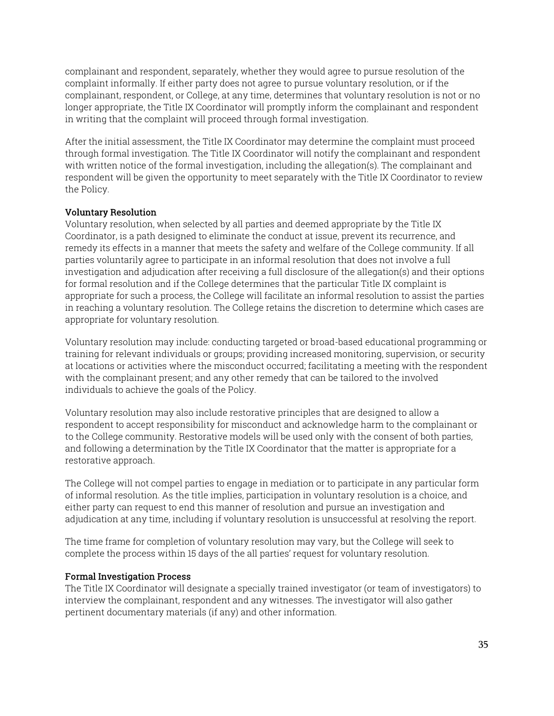complainant and respondent, separately, whether they would agree to pursue resolution of the complaint informally. If either party does not agree to pursue voluntary resolution, or if the complainant, respondent, or College, at any time, determines that voluntary resolution is not or no longer appropriate, the Title IX Coordinator will promptly inform the complainant and respondent in writing that the complaint will proceed through formal investigation.

After the initial assessment, the Title IX Coordinator may determine the complaint must proceed through formal investigation. The Title IX Coordinator will notify the complainant and respondent with written notice of the formal investigation, including the allegation(s). The complainant and respondent will be given the opportunity to meet separately with the Title IX Coordinator to review the Policy.

#### Voluntary Resolution

Voluntary resolution, when selected by all parties and deemed appropriate by the Title IX Coordinator, is a path designed to eliminate the conduct at issue, prevent its recurrence, and remedy its effects in a manner that meets the safety and welfare of the College community. If all parties voluntarily agree to participate in an informal resolution that does not involve a full investigation and adjudication after receiving a full disclosure of the allegation(s) and their options for formal resolution and if the College determines that the particular Title IX complaint is appropriate for such a process, the College will facilitate an informal resolution to assist the parties in reaching a voluntary resolution. The College retains the discretion to determine which cases are appropriate for voluntary resolution.

Voluntary resolution may include: conducting targeted or broad-based educational programming or training for relevant individuals or groups; providing increased monitoring, supervision, or security at locations or activities where the misconduct occurred; facilitating a meeting with the respondent with the complainant present; and any other remedy that can be tailored to the involved individuals to achieve the goals of the Policy.

Voluntary resolution may also include restorative principles that are designed to allow a respondent to accept responsibility for misconduct and acknowledge harm to the complainant or to the College community. Restorative models will be used only with the consent of both parties, and following a determination by the Title IX Coordinator that the matter is appropriate for a restorative approach.

The College will not compel parties to engage in mediation or to participate in any particular form of informal resolution. As the title implies, participation in voluntary resolution is a choice, and either party can request to end this manner of resolution and pursue an investigation and adjudication at any time, including if voluntary resolution is unsuccessful at resolving the report.

The time frame for completion of voluntary resolution may vary, but the College will seek to complete the process within 15 days of the all parties' request for voluntary resolution.

#### Formal Investigation Process

The Title IX Coordinator will designate a specially trained investigator (or team of investigators) to interview the complainant, respondent and any witnesses. The investigator will also gather pertinent documentary materials (if any) and other information.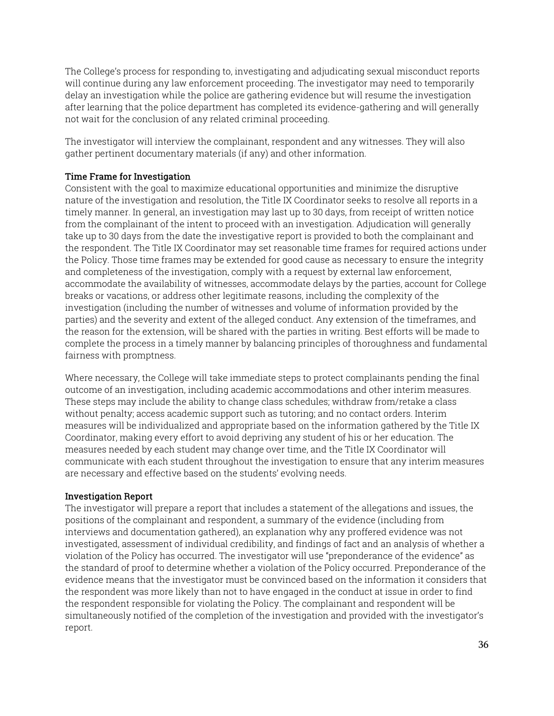The College's process for responding to, investigating and adjudicating sexual misconduct reports will continue during any law enforcement proceeding. The investigator may need to temporarily delay an investigation while the police are gathering evidence but will resume the investigation after learning that the police department has completed its evidence-gathering and will generally not wait for the conclusion of any related criminal proceeding.

The investigator will interview the complainant, respondent and any witnesses. They will also gather pertinent documentary materials (if any) and other information.

#### Time Frame for Investigation

Consistent with the goal to maximize educational opportunities and minimize the disruptive nature of the investigation and resolution, the Title IX Coordinator seeks to resolve all reports in a timely manner. In general, an investigation may last up to 30 days, from receipt of written notice from the complainant of the intent to proceed with an investigation. Adjudication will generally take up to 30 days from the date the investigative report is provided to both the complainant and the respondent. The Title IX Coordinator may set reasonable time frames for required actions under the Policy. Those time frames may be extended for good cause as necessary to ensure the integrity and completeness of the investigation, comply with a request by external law enforcement, accommodate the availability of witnesses, accommodate delays by the parties, account for College breaks or vacations, or address other legitimate reasons, including the complexity of the investigation (including the number of witnesses and volume of information provided by the parties) and the severity and extent of the alleged conduct. Any extension of the timeframes, and the reason for the extension, will be shared with the parties in writing. Best efforts will be made to complete the process in a timely manner by balancing principles of thoroughness and fundamental fairness with promptness.

Where necessary, the College will take immediate steps to protect complainants pending the final outcome of an investigation, including academic accommodations and other interim measures. These steps may include the ability to change class schedules; withdraw from/retake a class without penalty; access academic support such as tutoring; and no contact orders. Interim measures will be individualized and appropriate based on the information gathered by the Title IX Coordinator, making every effort to avoid depriving any student of his or her education. The measures needed by each student may change over time, and the Title IX Coordinator will communicate with each student throughout the investigation to ensure that any interim measures are necessary and effective based on the students' evolving needs.

#### Investigation Report

The investigator will prepare a report that includes a statement of the allegations and issues, the positions of the complainant and respondent, a summary of the evidence (including from interviews and documentation gathered), an explanation why any proffered evidence was not investigated, assessment of individual credibility, and findings of fact and an analysis of whether a violation of the Policy has occurred. The investigator will use "preponderance of the evidence" as the standard of proof to determine whether a violation of the Policy occurred. Preponderance of the evidence means that the investigator must be convinced based on the information it considers that the respondent was more likely than not to have engaged in the conduct at issue in order to find the respondent responsible for violating the Policy. The complainant and respondent will be simultaneously notified of the completion of the investigation and provided with the investigator's report.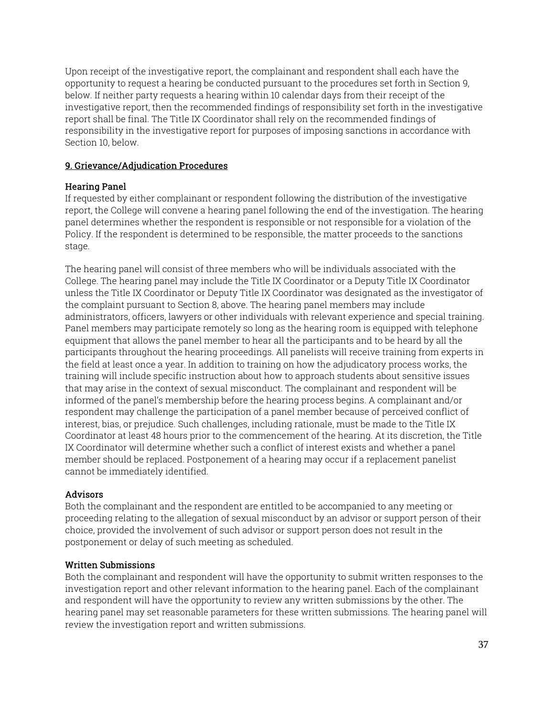Upon receipt of the investigative report, the complainant and respondent shall each have the opportunity to request a hearing be conducted pursuant to the procedures set forth in Section 9, below. If neither party requests a hearing within 10 calendar days from their receipt of the investigative report, then the recommended findings of responsibility set forth in the investigative report shall be final. The Title IX Coordinator shall rely on the recommended findings of responsibility in the investigative report for purposes of imposing sanctions in accordance with Section 10, below.

# 9. Grievance/Adjudication Procedures

# Hearing Panel

If requested by either complainant or respondent following the distribution of the investigative report, the College will convene a hearing panel following the end of the investigation. The hearing panel determines whether the respondent is responsible or not responsible for a violation of the Policy. If the respondent is determined to be responsible, the matter proceeds to the sanctions stage.

The hearing panel will consist of three members who will be individuals associated with the College. The hearing panel may include the Title IX Coordinator or a Deputy Title IX Coordinator unless the Title IX Coordinator or Deputy Title IX Coordinator was designated as the investigator of the complaint pursuant to Section 8, above. The hearing panel members may include administrators, officers, lawyers or other individuals with relevant experience and special training. Panel members may participate remotely so long as the hearing room is equipped with telephone equipment that allows the panel member to hear all the participants and to be heard by all the participants throughout the hearing proceedings. All panelists will receive training from experts in the field at least once a year. In addition to training on how the adjudicatory process works, the training will include specific instruction about how to approach students about sensitive issues that may arise in the context of sexual misconduct. The complainant and respondent will be informed of the panel's membership before the hearing process begins. A complainant and/or respondent may challenge the participation of a panel member because of perceived conflict of interest, bias, or prejudice. Such challenges, including rationale, must be made to the Title IX Coordinator at least 48 hours prior to the commencement of the hearing. At its discretion, the Title IX Coordinator will determine whether such a conflict of interest exists and whether a panel member should be replaced. Postponement of a hearing may occur if a replacement panelist cannot be immediately identified.

# **Advisors**

Both the complainant and the respondent are entitled to be accompanied to any meeting or proceeding relating to the allegation of sexual misconduct by an advisor or support person of their choice, provided the involvement of such advisor or support person does not result in the postponement or delay of such meeting as scheduled.

# Written Submissions

Both the complainant and respondent will have the opportunity to submit written responses to the investigation report and other relevant information to the hearing panel. Each of the complainant and respondent will have the opportunity to review any written submissions by the other. The hearing panel may set reasonable parameters for these written submissions. The hearing panel will review the investigation report and written submissions.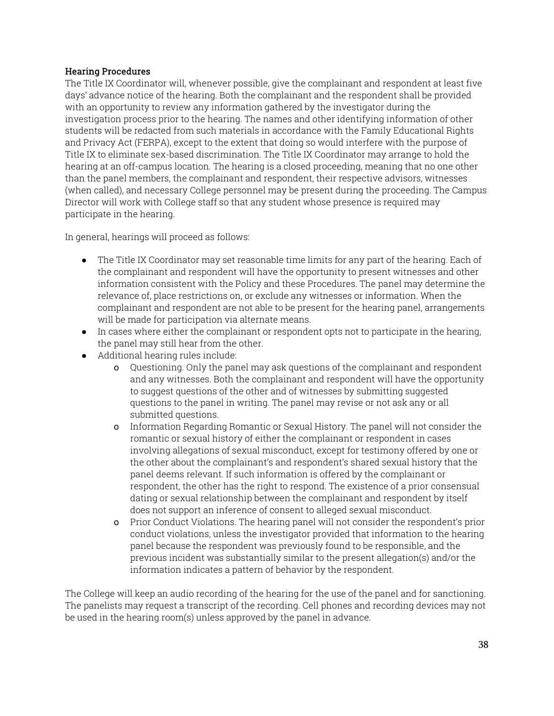# Hearing Procedures

The Title IX Coordinator will, whenever possible, give the complainant and respondent at least five days' advance notice of the hearing. Both the complainant and the respondent shall be provided with an opportunity to review any information gathered by the investigator during the investigation process prior to the hearing. The names and other identifying information of other students will be redacted from such materials in accordance with the Family Educational Rights and Privacy Act (FERPA), except to the extent that doing so would interfere with the purpose of Title IX to eliminate sex-based discrimination. The Title IX Coordinator may arrange to hold the hearing at an off-campus location. The hearing is a closed proceeding, meaning that no one other than the panel members, the complainant and respondent, their respective advisors, witnesses (when called), and necessary College personnel may be present during the proceeding. The Campus Director will work with College staff so that any student whose presence is required may participate in the hearing.

In general, hearings will proceed as follows:

- The Title IX Coordinator may set reasonable time limits for any part of the hearing. Each of the complainant and respondent will have the opportunity to present witnesses and other information consistent with the Policy and these Procedures. The panel may determine the relevance of, place restrictions on, or exclude any witnesses or information. When the complainant and respondent are not able to be present for the hearing panel, arrangements will be made for participation via alternate means.
- In cases where either the complainant or respondent opts not to participate in the hearing, the panel may still hear from the other.
- Additional hearing rules include:
	- o Questioning. Only the panel may ask questions of the complainant and respondent and any witnesses. Both the complainant and respondent will have the opportunity to suggest questions of the other and of witnesses by submitting suggested questions to the panel in writing. The panel may revise or not ask any or all submitted questions.
	- o Information Regarding Romantic or Sexual History. The panel will not consider the romantic or sexual history of either the complainant or respondent in cases involving allegations of sexual misconduct, except for testimony offered by one or the other about the complainant's and respondent's shared sexual history that the panel deems relevant. If such information is offered by the complainant or respondent, the other has the right to respond. The existence of a prior consensual dating or sexual relationship between the complainant and respondent by itself does not support an inference of consent to alleged sexual misconduct.
	- o Prior Conduct Violations. The hearing panel will not consider the respondent's prior conduct violations, unless the investigator provided that information to the hearing panel because the respondent was previously found to be responsible, and the previous incident was substantially similar to the present allegation(s) and/or the information indicates a pattern of behavior by the respondent.

The College will keep an audio recording of the hearing for the use of the panel and for sanctioning. The panelists may request a transcript of the recording. Cell phones and recording devices may not be used in the hearing room(s) unless approved by the panel in advance.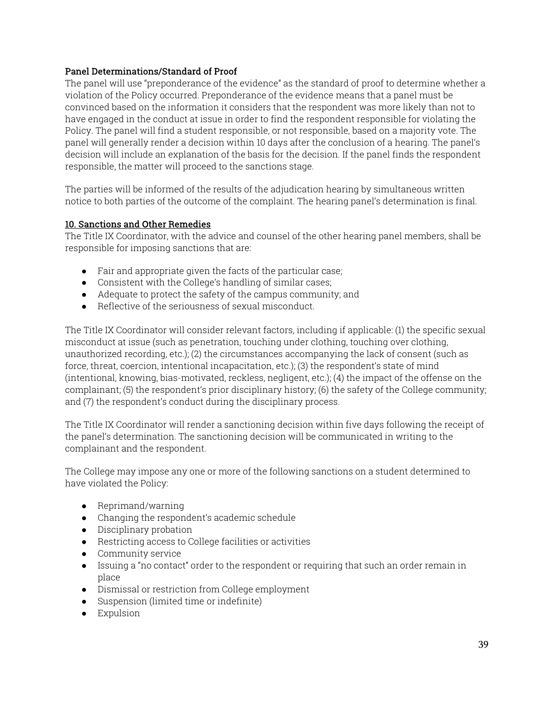# Panel Determinations/Standard of Proof

The panel will use "preponderance of the evidence" as the standard of proof to determine whether a violation of the Policy occurred. Preponderance of the evidence means that a panel must be convinced based on the information it considers that the respondent was more likely than not to have engaged in the conduct at issue in order to find the respondent responsible for violating the Policy. The panel will find a student responsible, or not responsible, based on a majority vote. The panel will generally render a decision within 10 days after the conclusion of a hearing. The panel's decision will include an explanation of the basis for the decision. If the panel finds the respondent responsible, the matter will proceed to the sanctions stage.

The parties will be informed of the results of the adjudication hearing by simultaneous written notice to both parties of the outcome of the complaint. The hearing panel's determination is final.

# 10. Sanctions and Other Remedies

The Title IX Coordinator, with the advice and counsel of the other hearing panel members, shall be responsible for imposing sanctions that are:

- Fair and appropriate given the facts of the particular case;
- Consistent with the College's handling of similar cases;
- Adequate to protect the safety of the campus community; and
- Reflective of the seriousness of sexual misconduct.

The Title IX Coordinator will consider relevant factors, including if applicable: (1) the specific sexual misconduct at issue (such as penetration, touching under clothing, touching over clothing, unauthorized recording, etc.); (2) the circumstances accompanying the lack of consent (such as force, threat, coercion, intentional incapacitation, etc.); (3) the respondent's state of mind (intentional, knowing, bias-motivated, reckless, negligent, etc.); (4) the impact of the offense on the complainant; (5) the respondent's prior disciplinary history; (6) the safety of the College community; and (7) the respondent's conduct during the disciplinary process.

The Title IX Coordinator will render a sanctioning decision within five days following the receipt of the panel's determination. The sanctioning decision will be communicated in writing to the complainant and the respondent.

The College may impose any one or more of the following sanctions on a student determined to have violated the Policy:

- Reprimand/warning
- Changing the respondent's academic schedule
- Disciplinary probation
- Restricting access to College facilities or activities
- Community service
- Issuing a "no contact" order to the respondent or requiring that such an order remain in place
- Dismissal or restriction from College employment
- Suspension (limited time or indefinite)
- Expulsion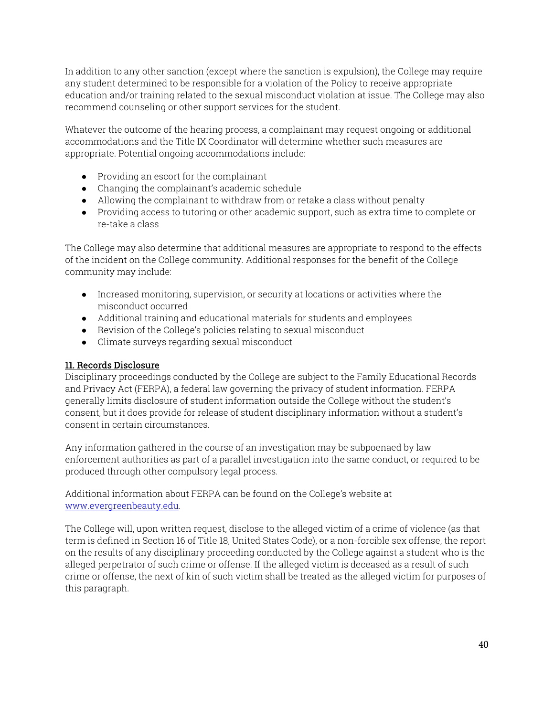In addition to any other sanction (except where the sanction is expulsion), the College may require any student determined to be responsible for a violation of the Policy to receive appropriate education and/or training related to the sexual misconduct violation at issue. The College may also recommend counseling or other support services for the student.

Whatever the outcome of the hearing process, a complainant may request ongoing or additional accommodations and the Title IX Coordinator will determine whether such measures are appropriate. Potential ongoing accommodations include:

- Providing an escort for the complainant
- Changing the complainant's academic schedule
- Allowing the complainant to withdraw from or retake a class without penalty
- Providing access to tutoring or other academic support, such as extra time to complete or re-take a class

The College may also determine that additional measures are appropriate to respond to the effects of the incident on the College community. Additional responses for the benefit of the College community may include:

- Increased monitoring, supervision, or security at locations or activities where the misconduct occurred
- Additional training and educational materials for students and employees
- Revision of the College's policies relating to sexual misconduct
- Climate surveys regarding sexual misconduct

# 11. Records Disclosure

Disciplinary proceedings conducted by the College are subject to the Family Educational Records and Privacy Act (FERPA), a federal law governing the privacy of student information. FERPA generally limits disclosure of student information outside the College without the student's consent, but it does provide for release of student disciplinary information without a student's consent in certain circumstances.

Any information gathered in the course of an investigation may be subpoenaed by law enforcement authorities as part of a parallel investigation into the same conduct, or required to be produced through other compulsory legal process.

Additional information about FERPA can be found on the College's website at www.evergreenbeauty.edu.

The College will, upon written request, disclose to the alleged victim of a crime of violence (as that term is defined in Section 16 of Title 18, United States Code), or a non-forcible sex offense, the report on the results of any disciplinary proceeding conducted by the College against a student who is the alleged perpetrator of such crime or offense. If the alleged victim is deceased as a result of such crime or offense, the next of kin of such victim shall be treated as the alleged victim for purposes of this paragraph.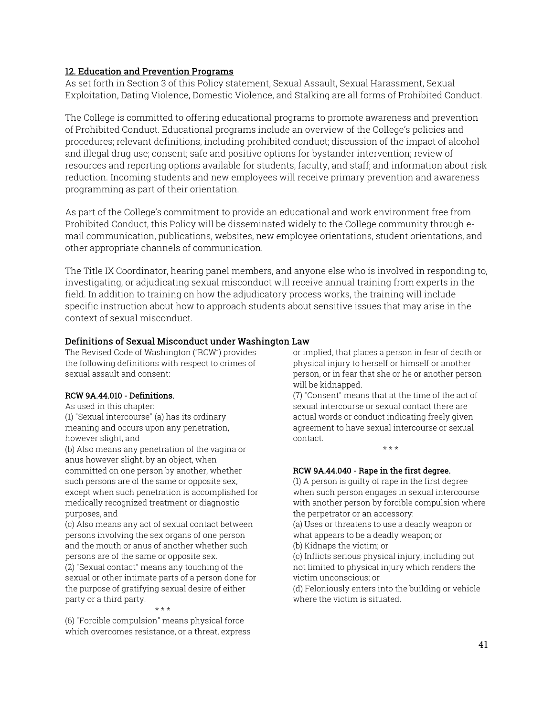#### 12. Education and Prevention Programs

As set forth in Section 3 of this Policy statement, Sexual Assault, Sexual Harassment, Sexual Exploitation, Dating Violence, Domestic Violence, and Stalking are all forms of Prohibited Conduct.

The College is committed to offering educational programs to promote awareness and prevention of Prohibited Conduct. Educational programs include an overview of the College's policies and procedures; relevant definitions, including prohibited conduct; discussion of the impact of alcohol and illegal drug use; consent; safe and positive options for bystander intervention; review of resources and reporting options available for students, faculty, and staff; and information about risk reduction. Incoming students and new employees will receive primary prevention and awareness programming as part of their orientation.

As part of the College's commitment to provide an educational and work environment free from Prohibited Conduct, this Policy will be disseminated widely to the College community through email communication, publications, websites, new employee orientations, student orientations, and other appropriate channels of communication.

The Title IX Coordinator, hearing panel members, and anyone else who is involved in responding to, investigating, or adjudicating sexual misconduct will receive annual training from experts in the field. In addition to training on how the adjudicatory process works, the training will include specific instruction about how to approach students about sensitive issues that may arise in the context of sexual misconduct.

#### Definitions of Sexual Misconduct under Washington Law

The Revised Code of Washington ("RCW") provides the following definitions with respect to crimes of sexual assault and consent:

#### RCW 9A.44.010 - Definitions.

As used in this chapter:

(1) "Sexual intercourse" (a) has its ordinary meaning and occurs upon any penetration, however slight, and

(b) Also means any penetration of the vagina or anus however slight, by an object, when committed on one person by another, whether such persons are of the same or opposite sex, except when such penetration is accomplished for medically recognized treatment or diagnostic purposes, and

(c) Also means any act of sexual contact between persons involving the sex organs of one person and the mouth or anus of another whether such persons are of the same or opposite sex.

(2) "Sexual contact" means any touching of the sexual or other intimate parts of a person done for the purpose of gratifying sexual desire of either party or a third party.

\* \* \*

(6) "Forcible compulsion" means physical force which overcomes resistance, or a threat, express or implied, that places a person in fear of death or physical injury to herself or himself or another person, or in fear that she or he or another person will be kidnapped.

(7) "Consent" means that at the time of the act of sexual intercourse or sexual contact there are actual words or conduct indicating freely given agreement to have sexual intercourse or sexual contact. \* \* \*

#### RCW 9A.44.040 - Rape in the first degree.

(1) A person is guilty of rape in the first degree when such person engages in sexual intercourse with another person by forcible compulsion where the perpetrator or an accessory:

(a) Uses or threatens to use a deadly weapon or what appears to be a deadly weapon; or

(b) Kidnaps the victim; or

(c) Inflicts serious physical injury, including but not limited to physical injury which renders the victim unconscious; or

(d) Feloniously enters into the building or vehicle where the victim is situated.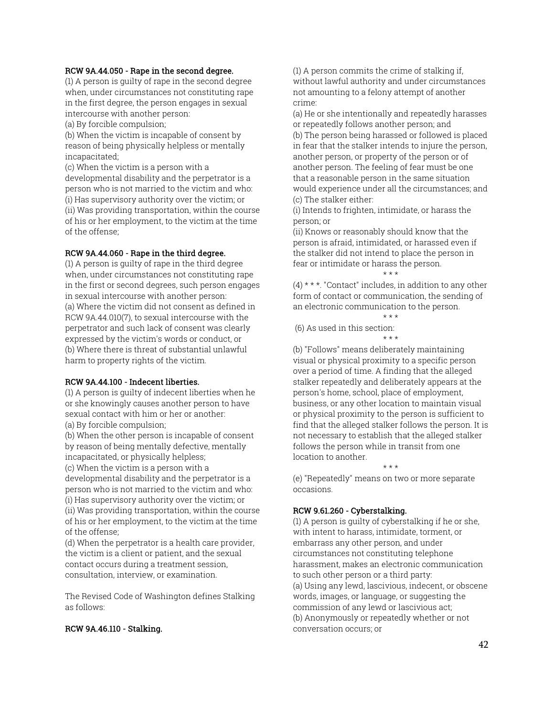#### RCW 9A.44.050 - Rape in the second degree.

(1) A person is guilty of rape in the second degree when, under circumstances not constituting rape in the first degree, the person engages in sexual intercourse with another person:

(a) By forcible compulsion;

(b) When the victim is incapable of consent by reason of being physically helpless or mentally incapacitated;

(c) When the victim is a person with a developmental disability and the perpetrator is a person who is not married to the victim and who: (i) Has supervisory authority over the victim; or (ii) Was providing transportation, within the course of his or her employment, to the victim at the time of the offense;

#### RCW 9A.44.060 - Rape in the third degree.

(1) A person is guilty of rape in the third degree when, under circumstances not constituting rape in the first or second degrees, such person engages in sexual intercourse with another person: (a) Where the victim did not consent as defined in RCW 9A.44.010(7), to sexual intercourse with the perpetrator and such lack of consent was clearly expressed by the victim's words or conduct, or (b) Where there is threat of substantial unlawful harm to property rights of the victim.

#### RCW 9A.44.100 - Indecent liberties.

(1) A person is guilty of indecent liberties when he or she knowingly causes another person to have sexual contact with him or her or another:

(a) By forcible compulsion;

(b) When the other person is incapable of consent by reason of being mentally defective, mentally incapacitated, or physically helpless;

(c) When the victim is a person with a developmental disability and the perpetrator is a person who is not married to the victim and who:

(i) Has supervisory authority over the victim; or (ii) Was providing transportation, within the course of his or her employment, to the victim at the time of the offense;

(d) When the perpetrator is a health care provider, the victim is a client or patient, and the sexual contact occurs during a treatment session, consultation, interview, or examination.

The Revised Code of Washington defines Stalking as follows:

#### RCW 9A.46.110 - Stalking.

(1) A person commits the crime of stalking if, without lawful authority and under circumstances not amounting to a felony attempt of another crime:

(a) He or she intentionally and repeatedly harasses or repeatedly follows another person; and

(b) The person being harassed or followed is placed in fear that the stalker intends to injure the person, another person, or property of the person or of another person. The feeling of fear must be one that a reasonable person in the same situation would experience under all the circumstances; and (c) The stalker either:

(i) Intends to frighten, intimidate, or harass the person; or

(ii) Knows or reasonably should know that the person is afraid, intimidated, or harassed even if the stalker did not intend to place the person in fear or intimidate or harass the person.

 $(4)$  \* \* \*. "Contact" includes, in addition to any other form of contact or communication, the sending of an electronic communication to the person.

\* \* \*

#### \* \* \* (6) As used in this section: \* \* \*

(b) "Follows" means deliberately maintaining visual or physical proximity to a specific person over a period of time. A finding that the alleged stalker repeatedly and deliberately appears at the person's home, school, place of employment, business, or any other location to maintain visual or physical proximity to the person is sufficient to find that the alleged stalker follows the person. It is not necessary to establish that the alleged stalker follows the person while in transit from one location to another.

\* \* \* (e) "Repeatedly" means on two or more separate occasions.

#### RCW 9.61.260 - Cyberstalking.

(1) A person is guilty of cyberstalking if he or she, with intent to harass, intimidate, torment, or embarrass any other person, and under circumstances not constituting telephone harassment, makes an electronic communication to such other person or a third party: (a) Using any lewd, lascivious, indecent, or obscene words, images, or language, or suggesting the commission of any lewd or lascivious act; (b) Anonymously or repeatedly whether or not conversation occurs; or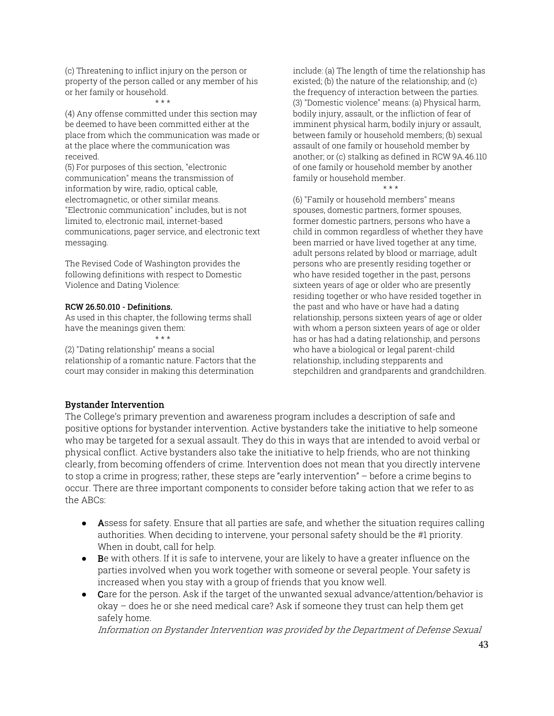(c) Threatening to inflict injury on the person or property of the person called or any member of his or her family or household.

\* \* \*

(4) Any offense committed under this section may be deemed to have been committed either at the place from which the communication was made or at the place where the communication was received.

(5) For purposes of this section, "electronic communication" means the transmission of information by wire, radio, optical cable, electromagnetic, or other similar means. "Electronic communication" includes, but is not limited to, electronic mail, internet-based communications, pager service, and electronic text messaging.

The Revised Code of Washington provides the following definitions with respect to Domestic Violence and Dating Violence:

#### RCW 26.50.010 - Definitions.

As used in this chapter, the following terms shall have the meanings given them:

 $+ + +$ 

(2) "Dating relationship" means a social relationship of a romantic nature. Factors that the court may consider in making this determination

include: (a) The length of time the relationship has existed; (b) the nature of the relationship; and (c) the frequency of interaction between the parties. (3) "Domestic violence" means: (a) Physical harm, bodily injury, assault, or the infliction of fear of imminent physical harm, bodily injury or assault, between family or household members; (b) sexual assault of one family or household member by another; or (c) stalking as defined in RCW 9A.46.110 of one family or household member by another family or household member.

\* \* \* (6) "Family or household members" means spouses, domestic partners, former spouses, former domestic partners, persons who have a child in common regardless of whether they have been married or have lived together at any time, adult persons related by blood or marriage, adult persons who are presently residing together or who have resided together in the past, persons sixteen years of age or older who are presently residing together or who have resided together in the past and who have or have had a dating relationship, persons sixteen years of age or older with whom a person sixteen years of age or older has or has had a dating relationship, and persons who have a biological or legal parent-child relationship, including stepparents and stepchildren and grandparents and grandchildren.

#### Bystander Intervention

The College's primary prevention and awareness program includes a description of safe and positive options for bystander intervention. Active bystanders take the initiative to help someone who may be targeted for a sexual assault. They do this in ways that are intended to avoid verbal or physical conflict. Active bystanders also take the initiative to help friends, who are not thinking clearly, from becoming offenders of crime. Intervention does not mean that you directly intervene to stop a crime in progress; rather, these steps are "early intervention" – before a crime begins to occur. There are three important components to consider before taking action that we refer to as the ABCs:

- Assess for safety. Ensure that all parties are safe, and whether the situation requires calling authorities. When deciding to intervene, your personal safety should be the #1 priority. When in doubt, call for help.
- Be with others. If it is safe to intervene, your are likely to have a greater influence on the parties involved when you work together with someone or several people. Your safety is increased when you stay with a group of friends that you know well.
- Care for the person. Ask if the target of the unwanted sexual advance/attention/behavior is okay – does he or she need medical care? Ask if someone they trust can help them get safely home.

Information on Bystander Intervention was provided by the Department of Defense Sexual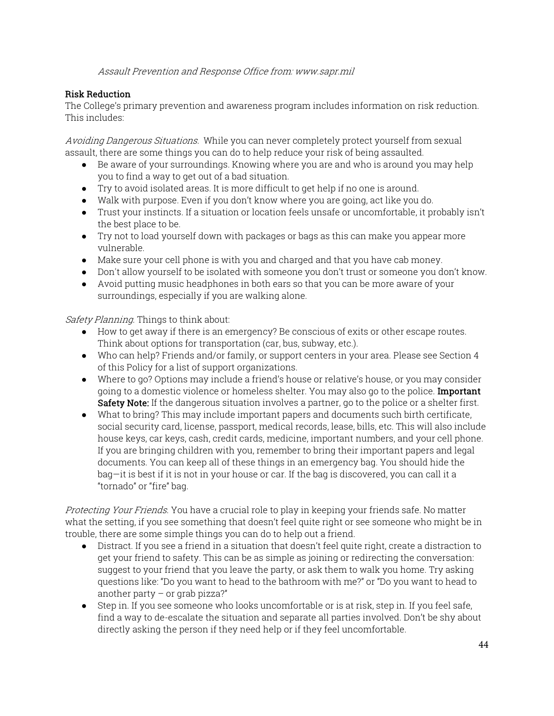Assault Prevention and Response Office from: www.sapr.mil

# Risk Reduction

The College's primary prevention and awareness program includes information on risk reduction. This includes:

Avoiding Dangerous Situations. While you can never completely protect yourself from sexual assault, there are some things you can do to help reduce your risk of being assaulted.

- Be aware of your surroundings. Knowing where you are and who is around you may help you to find a way to get out of a bad situation.
- Try to avoid isolated areas. It is more difficult to get help if no one is around.
- Walk with purpose. Even if you don't know where you are going, act like you do.
- Trust your instincts. If a situation or location feels unsafe or uncomfortable, it probably isn't the best place to be.
- Try not to load yourself down with packages or bags as this can make you appear more vulnerable.
- Make sure your cell phone is with you and charged and that you have cab money.
- Don't allow yourself to be isolated with someone you don't trust or someone you don't know.
- Avoid putting music headphones in both ears so that you can be more aware of your surroundings, especially if you are walking alone.

Safety Planning. Things to think about:

- How to get away if there is an emergency? Be conscious of exits or other escape routes. Think about options for transportation (car, bus, subway, etc.).
- Who can help? Friends and/or family, or support centers in your area. Please see Section 4 of this Policy for a list of support organizations.
- Where to go? Options may include a friend's house or relative's house, or you may consider going to a domestic violence or homeless shelter. You may also go to the police. Important Safety Note: If the dangerous situation involves a partner, go to the police or a shelter first.
- What to bring? This may include important papers and documents such birth certificate, social security card, license, passport, medical records, lease, bills, etc. This will also include house keys, car keys, cash, credit cards, medicine, important numbers, and your cell phone. If you are bringing children with you, remember to bring their important papers and legal documents. You can keep all of these things in an emergency bag. You should hide the bag—it is best if it is not in your house or car. If the bag is discovered, you can call it a "tornado" or "fire" bag.

Protecting Your Friends. You have a crucial role to play in keeping your friends safe. No matter what the setting, if you see something that doesn't feel quite right or see someone who might be in trouble, there are some simple things you can do to help out a friend.

- Distract. If you see a friend in a situation that doesn't feel quite right, create a distraction to get your friend to safety. This can be as simple as joining or redirecting the conversation: suggest to your friend that you leave the party, or ask them to walk you home. Try asking questions like: "Do you want to head to the bathroom with me?" or "Do you want to head to another party  $-$  or grab pizza?"
- Step in. If you see someone who looks uncomfortable or is at risk, step in. If you feel safe, find a way to de-escalate the situation and separate all parties involved. Don't be shy about directly asking the person if they need help or if they feel uncomfortable.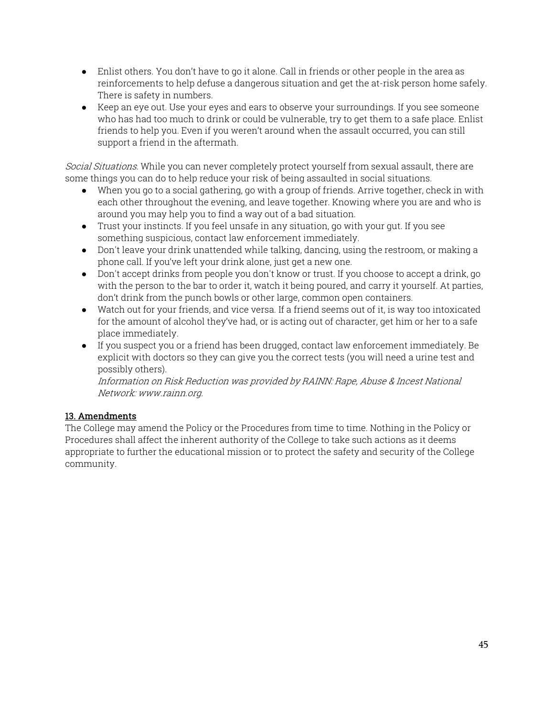- Enlist others. You don't have to go it alone. Call in friends or other people in the area as reinforcements to help defuse a dangerous situation and get the at-risk person home safely. There is safety in numbers.
- Keep an eye out. Use your eyes and ears to observe your surroundings. If you see someone who has had too much to drink or could be vulnerable, try to get them to a safe place. Enlist friends to help you. Even if you weren't around when the assault occurred, you can still support a friend in the aftermath.

Social Situations. While you can never completely protect yourself from sexual assault, there are some things you can do to help reduce your risk of being assaulted in social situations.

- When you go to a social gathering, go with a group of friends. Arrive together, check in with each other throughout the evening, and leave together. Knowing where you are and who is around you may help you to find a way out of a bad situation.
- Trust your instincts. If you feel unsafe in any situation, go with your gut. If you see something suspicious, contact law enforcement immediately.
- Don't leave your drink unattended while talking, dancing, using the restroom, or making a phone call. If you've left your drink alone, just get a new one.
- Don't accept drinks from people you don't know or trust. If you choose to accept a drink, go with the person to the bar to order it, watch it being poured, and carry it yourself. At parties, don't drink from the punch bowls or other large, common open containers.
- Watch out for your friends, and vice versa. If a friend seems out of it, is way too intoxicated for the amount of alcohol they've had, or is acting out of character, get him or her to a safe place immediately.
- If you suspect you or a friend has been drugged, contact law enforcement immediately. Be explicit with doctors so they can give you the correct tests (you will need a urine test and possibly others).

Information on Risk Reduction was provided by RAINN: Rape, Abuse & Incest National Network: www.rainn.org.

# 13. Amendments

The College may amend the Policy or the Procedures from time to time. Nothing in the Policy or Procedures shall affect the inherent authority of the College to take such actions as it deems appropriate to further the educational mission or to protect the safety and security of the College community.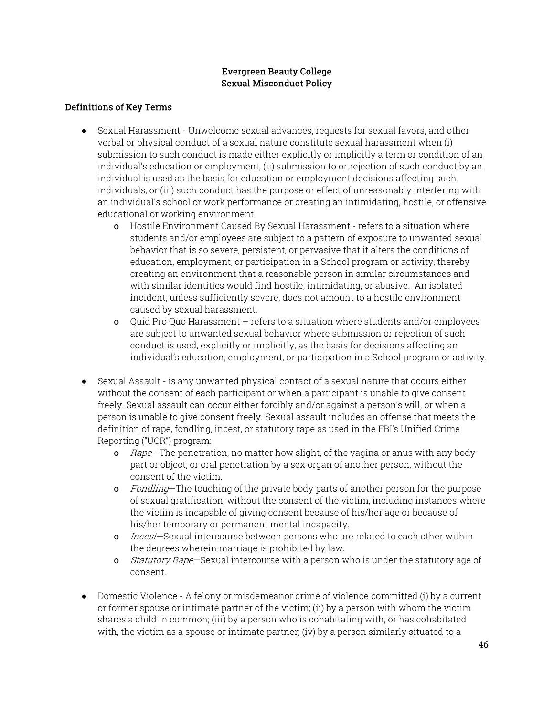# Evergreen Beauty College Sexual Misconduct Policy

# Definitions of Key Terms

- Sexual Harassment Unwelcome sexual advances, requests for sexual favors, and other verbal or physical conduct of a sexual nature constitute sexual harassment when (i) submission to such conduct is made either explicitly or implicitly a term or condition of an individual's education or employment, (ii) submission to or rejection of such conduct by an individual is used as the basis for education or employment decisions affecting such individuals, or (iii) such conduct has the purpose or effect of unreasonably interfering with an individual's school or work performance or creating an intimidating, hostile, or offensive educational or working environment.
	- o Hostile Environment Caused By Sexual Harassment refers to a situation where students and/or employees are subject to a pattern of exposure to unwanted sexual behavior that is so severe, persistent, or pervasive that it alters the conditions of education, employment, or participation in a School program or activity, thereby creating an environment that a reasonable person in similar circumstances and with similar identities would find hostile, intimidating, or abusive. An isolated incident, unless sufficiently severe, does not amount to a hostile environment caused by sexual harassment.
	- o Quid Pro Quo Harassment refers to a situation where students and/or employees are subject to unwanted sexual behavior where submission or rejection of such conduct is used, explicitly or implicitly, as the basis for decisions affecting an individual's education, employment, or participation in a School program or activity.
- Sexual Assault is any unwanted physical contact of a sexual nature that occurs either without the consent of each participant or when a participant is unable to give consent freely. Sexual assault can occur either forcibly and/or against a person's will, or when a person is unable to give consent freely. Sexual assault includes an offense that meets the definition of rape, fondling, incest, or statutory rape as used in the FBI's Unified Crime Reporting ("UCR") program:
	- o Rape The penetration, no matter how slight, of the vagina or anus with any body part or object, or oral penetration by a sex organ of another person, without the consent of the victim.
	- o Fondling–The touching of the private body parts of another person for the purpose of sexual gratification, without the consent of the victim, including instances where the victim is incapable of giving consent because of his/her age or because of his/her temporary or permanent mental incapacity.
	- o *Incest*—Sexual intercourse between persons who are related to each other within the degrees wherein marriage is prohibited by law.
	- o Statutory Rape—Sexual intercourse with a person who is under the statutory age of consent.
- Domestic Violence A felony or misdemeanor crime of violence committed (i) by a current or former spouse or intimate partner of the victim; (ii) by a person with whom the victim shares a child in common; (iii) by a person who is cohabitating with, or has cohabitated with, the victim as a spouse or intimate partner; (iv) by a person similarly situated to a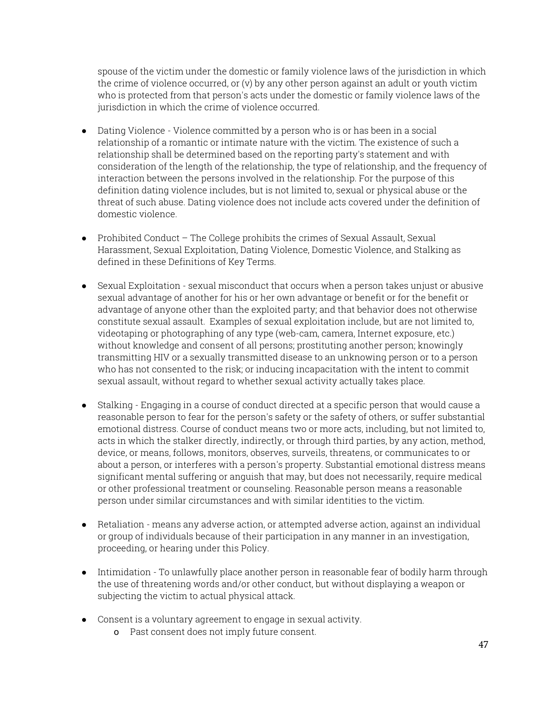spouse of the victim under the domestic or family violence laws of the jurisdiction in which the crime of violence occurred, or (v) by any other person against an adult or youth victim who is protected from that person's acts under the domestic or family violence laws of the jurisdiction in which the crime of violence occurred.

- Dating Violence Violence committed by a person who is or has been in a social relationship of a romantic or intimate nature with the victim. The existence of such a relationship shall be determined based on the reporting party's statement and with consideration of the length of the relationship, the type of relationship, and the frequency of interaction between the persons involved in the relationship. For the purpose of this definition dating violence includes, but is not limited to, sexual or physical abuse or the threat of such abuse. Dating violence does not include acts covered under the definition of domestic violence.
- Prohibited Conduct The College prohibits the crimes of Sexual Assault, Sexual Harassment, Sexual Exploitation, Dating Violence, Domestic Violence, and Stalking as defined in these Definitions of Key Terms.
- Sexual Exploitation sexual misconduct that occurs when a person takes unjust or abusive sexual advantage of another for his or her own advantage or benefit or for the benefit or advantage of anyone other than the exploited party; and that behavior does not otherwise constitute sexual assault. Examples of sexual exploitation include, but are not limited to, videotaping or photographing of any type (web-cam, camera, Internet exposure, etc.) without knowledge and consent of all persons; prostituting another person; knowingly transmitting HIV or a sexually transmitted disease to an unknowing person or to a person who has not consented to the risk; or inducing incapacitation with the intent to commit sexual assault, without regard to whether sexual activity actually takes place.
- Stalking Engaging in a course of conduct directed at a specific person that would cause a reasonable person to fear for the person's safety or the safety of others, or suffer substantial emotional distress. Course of conduct means two or more acts, including, but not limited to, acts in which the stalker directly, indirectly, or through third parties, by any action, method, device, or means, follows, monitors, observes, surveils, threatens, or communicates to or about a person, or interferes with a person's property. Substantial emotional distress means significant mental suffering or anguish that may, but does not necessarily, require medical or other professional treatment or counseling. Reasonable person means a reasonable person under similar circumstances and with similar identities to the victim.
- Retaliation means any adverse action, or attempted adverse action, against an individual or group of individuals because of their participation in any manner in an investigation, proceeding, or hearing under this Policy.
- Intimidation To unlawfully place another person in reasonable fear of bodily harm through the use of threatening words and/or other conduct, but without displaying a weapon or subjecting the victim to actual physical attack.
- Consent is a voluntary agreement to engage in sexual activity.
	- o Past consent does not imply future consent.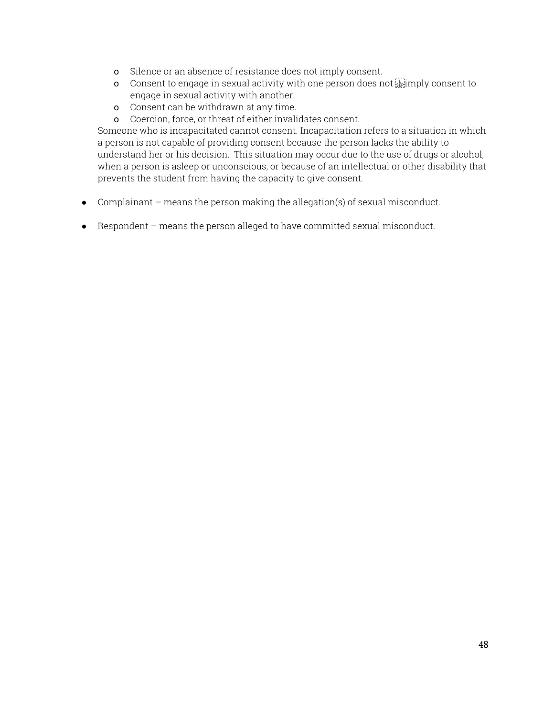- o Silence or an absence of resistance does not imply consent.
- o Consent to engage in sexual activity with one person does not  $\lim_{s\to a}$  mply consent to engage in sexual activity with another.
- o Consent can be withdrawn at any time.
- o Coercion, force, or threat of either invalidates consent.

Someone who is incapacitated cannot consent. Incapacitation refers to a situation in which a person is not capable of providing consent because the person lacks the ability to understand her or his decision. This situation may occur due to the use of drugs or alcohol, when a person is asleep or unconscious, or because of an intellectual or other disability that prevents the student from having the capacity to give consent.

- Complainant means the person making the allegation(s) of sexual misconduct.
- Respondent means the person alleged to have committed sexual misconduct.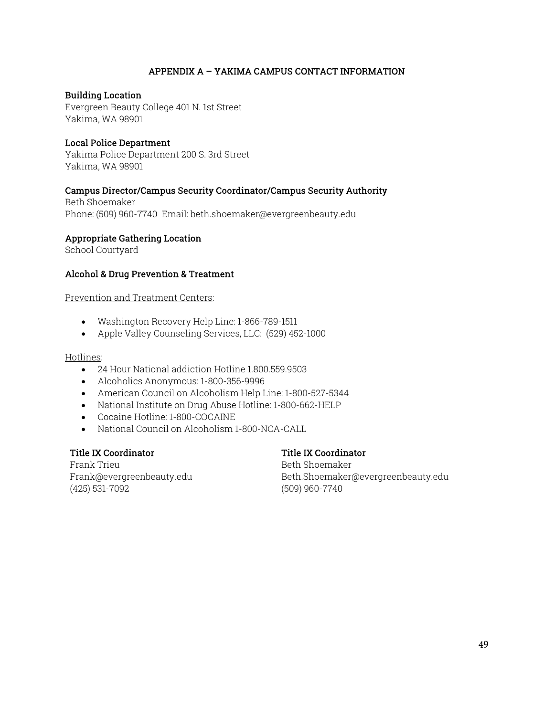# APPENDIX A – YAKIMA CAMPUS CONTACT INFORMATION

#### Building Location

Evergreen Beauty College 401 N. 1st Street Yakima, WA 98901

#### Local Police Department

Yakima Police Department 200 S. 3rd Street Yakima, WA 98901

# Campus Director/Campus Security Coordinator/Campus Security Authority

Beth Shoemaker Phone: (509) 960-7740 Email: beth.shoemaker@evergreenbeauty.edu

#### Appropriate Gathering Location

School Courtyard

#### Alcohol & Drug Prevention & Treatment

Prevention and Treatment Centers:

- Washington Recovery Help Line: 1-866-789-1511
- Apple Valley Counseling Services, LLC: (529) 452-1000

#### Hotlines:

- 24 Hour National addiction Hotline 1.800.559.9503
- Alcoholics Anonymous: 1-800-356-9996
- American Council on Alcoholism Help Line: 1-800-527-5344
- National Institute on Drug Abuse Hotline: 1-800-662-HELP
- Cocaine Hotline: 1-800-COCAINE
- National Council on Alcoholism 1-800-NCA-CALL

#### Title IX Coordinator

#### Frank Trieu Frank@evergreenbeauty.edu (425) 531-7092

# Title IX Coordinator

Beth Shoemaker Beth.Shoemaker@evergreenbeauty.edu (509) 960-7740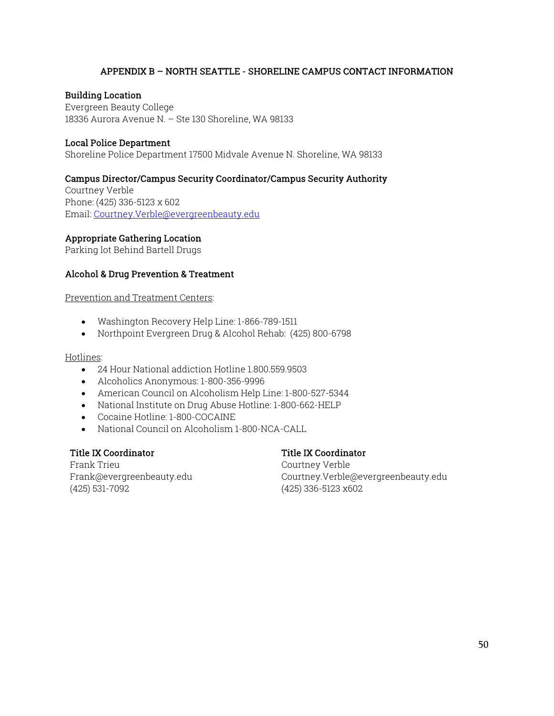#### APPENDIX B – NORTH SEATTLE - SHORELINE CAMPUS CONTACT INFORMATION

#### Building Location

Evergreen Beauty College 18336 Aurora Avenue N. – Ste 130 Shoreline, WA 98133

#### Local Police Department

Shoreline Police Department 17500 Midvale Avenue N. Shoreline, WA 98133

#### Campus Director/Campus Security Coordinator/Campus Security Authority

Courtney Verble Phone: (425) 336-5123 x 602 Email: Courtney.Verble@evergreenbeauty.edu

#### Appropriate Gathering Location

Parking lot Behind Bartell Drugs

#### Alcohol & Drug Prevention & Treatment

Prevention and Treatment Centers:

- Washington Recovery Help Line: 1-866-789-1511
- Northpoint Evergreen Drug & Alcohol Rehab: (425) 800-6798

#### Hotlines:

- 24 Hour National addiction Hotline 1.800.559.9503
- Alcoholics Anonymous: 1-800-356-9996
- American Council on Alcoholism Help Line: 1-800-527-5344
- National Institute on Drug Abuse Hotline: 1-800-662-HELP
- Cocaine Hotline: 1-800-COCAINE
- National Council on Alcoholism 1-800-NCA-CALL

#### Title IX Coordinator

#### Frank Trieu Frank@evergreenbeauty.edu (425) 531-7092

# Title IX Coordinator

Courtney Verble Courtney.Verble@evergreenbeauty.edu (425) 336-5123 x602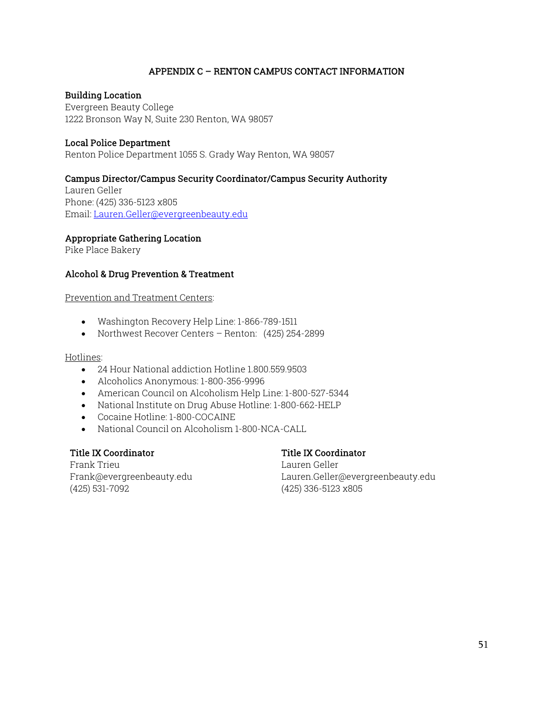# APPENDIX C – RENTON CAMPUS CONTACT INFORMATION

#### Building Location

Evergreen Beauty College 1222 Bronson Way N, Suite 230 Renton, WA 98057

#### Local Police Department

Renton Police Department 1055 S. Grady Way Renton, WA 98057

# Campus Director/Campus Security Coordinator/Campus Security Authority

Lauren Geller Phone: (425) 336-5123 x805 Email: Lauren.Geller@evergreenbeauty.edu

#### Appropriate Gathering Location

Pike Place Bakery

#### Alcohol & Drug Prevention & Treatment

Prevention and Treatment Centers:

- Washington Recovery Help Line: 1-866-789-1511
- Northwest Recover Centers Renton: (425) 254-2899

#### Hotlines:

- 24 Hour National addiction Hotline 1.800.559.9503
- Alcoholics Anonymous: 1-800-356-9996
- American Council on Alcoholism Help Line: 1-800-527-5344
- National Institute on Drug Abuse Hotline: 1-800-662-HELP
- Cocaine Hotline: 1-800-COCAINE
- National Council on Alcoholism 1-800-NCA-CALL

# Title IX Coordinator

Frank Trieu Frank@evergreenbeauty.edu (425) 531-7092

# Title IX Coordinator

Lauren Geller Lauren.Geller@evergreenbeauty.edu (425) 336-5123 x805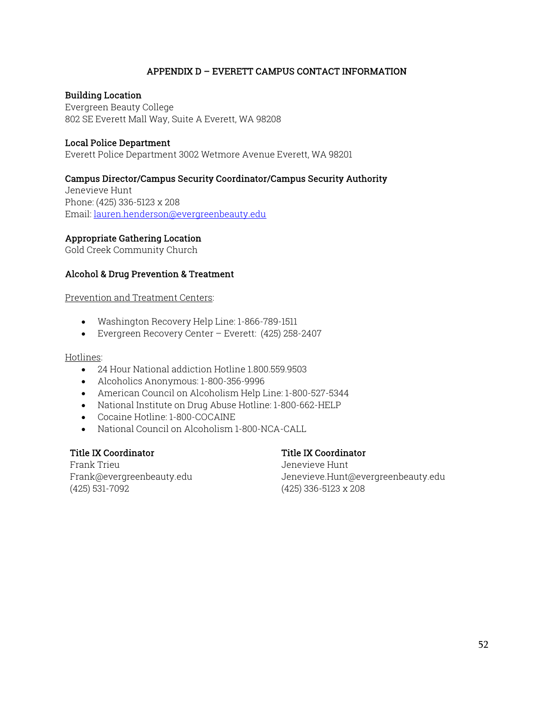#### APPENDIX D – EVERETT CAMPUS CONTACT INFORMATION

#### Building Location

Evergreen Beauty College 802 SE Everett Mall Way, Suite A Everett, WA 98208

#### Local Police Department

Everett Police Department 3002 Wetmore Avenue Everett, WA 98201

#### Campus Director/Campus Security Coordinator/Campus Security Authority

Jenevieve Hunt Phone: (425) 336-5123 x 208 Email: lauren.henderson@evergreenbeauty.edu

#### Appropriate Gathering Location

Gold Creek Community Church

#### Alcohol & Drug Prevention & Treatment

Prevention and Treatment Centers:

- Washington Recovery Help Line: 1-866-789-1511
- Evergreen Recovery Center Everett: (425) 258-2407

#### Hotlines:

- 24 Hour National addiction Hotline 1.800.559.9503
- Alcoholics Anonymous: 1-800-356-9996
- American Council on Alcoholism Help Line: 1-800-527-5344
- National Institute on Drug Abuse Hotline: 1-800-662-HELP
- Cocaine Hotline: 1-800-COCAINE
- National Council on Alcoholism 1-800-NCA-CALL

#### Title IX Coordinator

#### Frank Trieu Frank@evergreenbeauty.edu (425) 531-7092

# Title IX Coordinator

Jenevieve Hunt Jenevieve.Hunt@evergreenbeauty.edu (425) 336-5123 x 208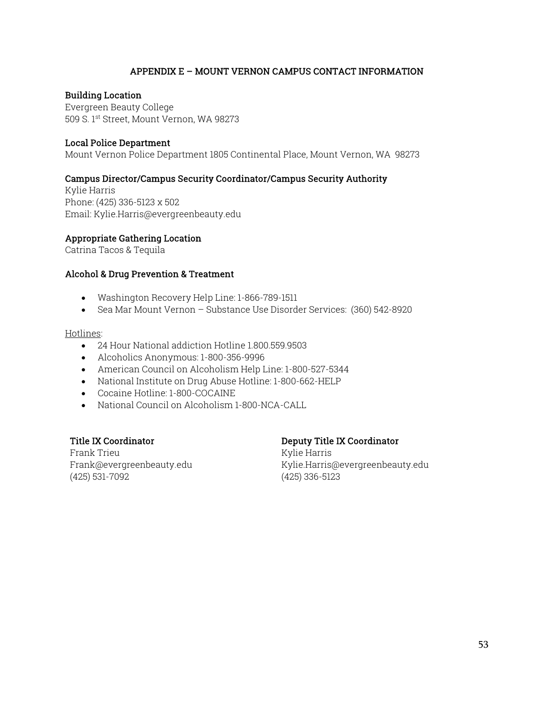# APPENDIX E – MOUNT VERNON CAMPUS CONTACT INFORMATION

#### Building Location

Evergreen Beauty College 509 S. 1st Street, Mount Vernon, WA 98273

#### Local Police Department

Mount Vernon Police Department 1805 Continental Place, Mount Vernon, WA 98273

#### Campus Director/Campus Security Coordinator/Campus Security Authority

Kylie Harris Phone: (425) 336-5123 x 502 Email: Kylie.Harris@evergreenbeauty.edu

#### Appropriate Gathering Location

Catrina Tacos & Tequila

#### Alcohol & Drug Prevention & Treatment

- Washington Recovery Help Line: 1-866-789-1511
- Sea Mar Mount Vernon Substance Use Disorder Services: (360) 542-8920

#### Hotlines:

- 24 Hour National addiction Hotline 1.800.559.9503
- Alcoholics Anonymous: 1-800-356-9996
- American Council on Alcoholism Help Line: 1-800-527-5344
- National Institute on Drug Abuse Hotline: 1-800-662-HELP
- Cocaine Hotline: 1-800-COCAINE
- National Council on Alcoholism 1-800-NCA-CALL

# Title IX Coordinator

Frank Trieu Frank@evergreenbeauty.edu (425) 531-7092

# Deputy Title IX Coordinator

Kylie Harris Kylie.Harris@evergreenbeauty.edu (425) 336-5123